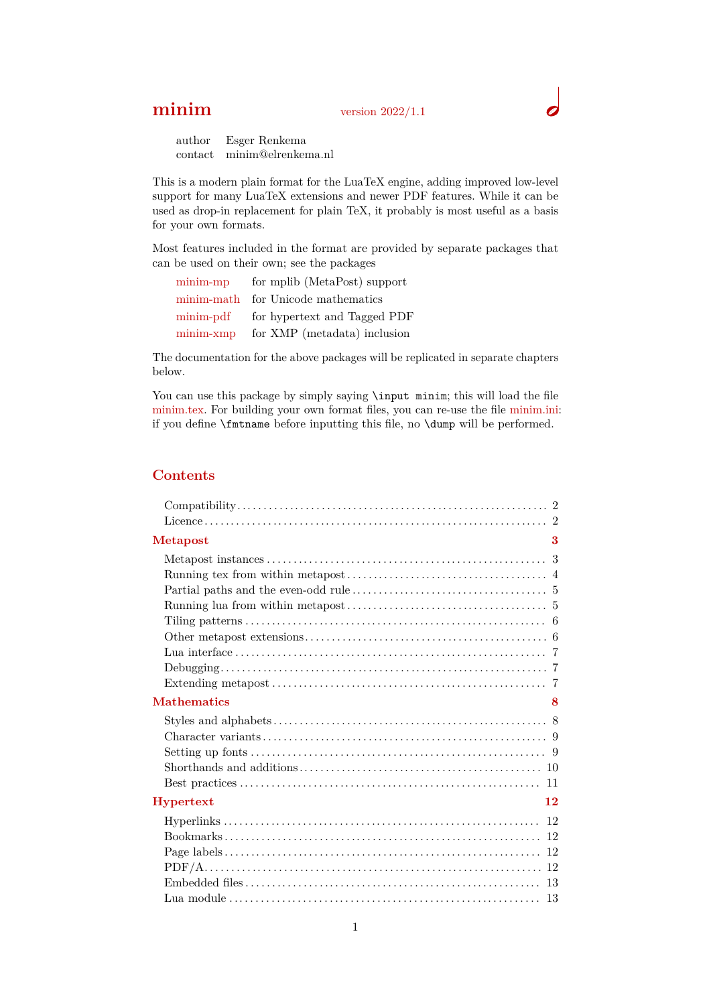# **minim** version 2022/1.1

author Esger Renkema contact minim@elrenkema.nl

This is a modern plain format for the LuaTeX engine, adding improved low-level support for many LuaTeX extensions and newer PDF features. While it can be used as drop-in replacement for plain TeX, it probably is most useful as a basis for your own formats.

Most features included in the format are provided by separate packages that can be used on their own; see the packages

| $minim-mp$  | for mplib (MetaPost) support       |
|-------------|------------------------------------|
|             | minim-math for Unicode mathematics |
| minim-pdf   | for hypertext and Tagged PDF       |
| $minim-xmp$ | for XMP (metadata) inclusion       |

The documentation for the above packages will be replicated in separate chapters below.

You can use this package by simply saying **\input minim**; this will load the file minim.tex. For building your own format files, you can re-use the file minim.ini: if you define \fmtname before inputting this file, no \dump will be performed.

# **Contents**

| <b>Metapost</b>    | 3  |
|--------------------|----|
|                    |    |
|                    |    |
| <b>Mathematics</b> | 8  |
|                    |    |
| Hypertext          | 12 |
|                    |    |
|                    |    |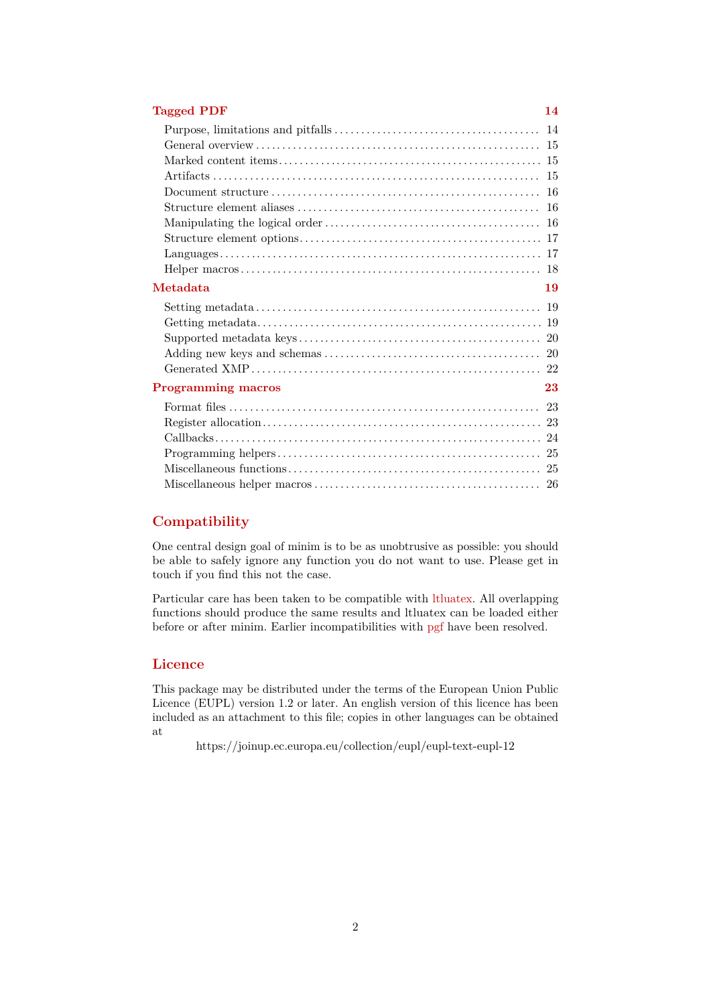# **[Tagged PDF](#page-13-0) 14**

| Metadata                  | 19 |
|---------------------------|----|
|                           |    |
|                           |    |
|                           |    |
|                           |    |
|                           |    |
| <b>Programming macros</b> | 23 |
|                           |    |
|                           |    |
|                           |    |
|                           |    |
|                           |    |
|                           |    |

# <span id="page-1-0"></span>**Compatibility**

One central design goal of minim is to be as unobtrusive as possible: you should be able to safely ignore any function you do not want to use. Please get in touch if you find this not the case.

Particular care has been taken to be compatible with ltluatex. All overlapping functions should produce the same results and ltluatex can be loaded either before or after minim. Earlier incompatibilities with pgf have been resolved.

# <span id="page-1-1"></span>**Licence**

This package may be distributed under the terms of the European Union Public Licence (EUPL) version 1.2 or later. An english version of this licence has been included as an attachment to this file; copies in other languages can be obtained at

<https://joinup.ec.europa.eu/collection/eupl/eupl-text-eupl-12>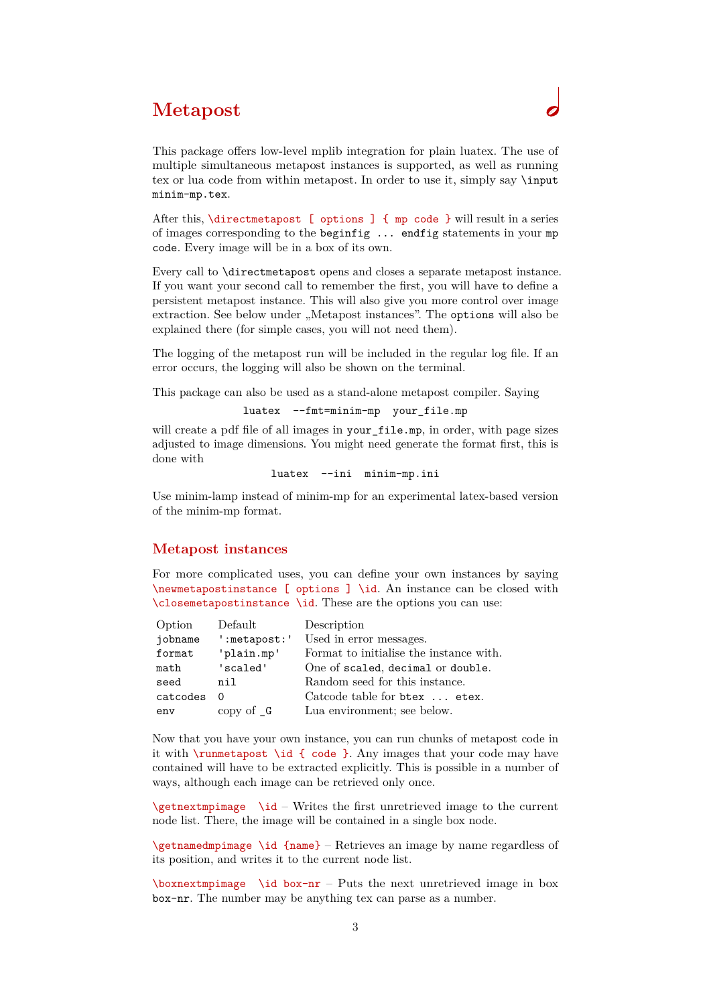# <span id="page-2-0"></span>**Metapost**

This package offers low-level mplib integration for plain luatex. The use of multiple simultaneous metapost instances is supported, as well as running tex or lua code from within metapost. In order to use it, simply say \input minim-mp.tex.

After this, \directmetapost [ options ] { mp code } will result in a series of images corresponding to the beginfig ... endfig statements in your mp code. Every image will be in a box of its own.

Every call to \directmetapost opens and closes a separate metapost instance. If you want your second call to remember the first, you will have to define a persistent metapost instance. This will also give you more control over image extraction. See below under "Metapost instances". The options will also be explained there (for simple cases, you will not need them).

The logging of the metapost run will be included in the regular log file. If an error occurs, the logging will also be shown on the terminal.

This package can also be used as a stand-alone metapost compiler. Saying

```
luatex --fmt=minim-mp your_file.mp
```
will create a pdf file of all images in your\_file.mp, in order, with page sizes adjusted to image dimensions. You might need generate the format first, this is done with

luatex --ini minim-mp.ini

Use minim-lamp instead of minim-mp for an experimental latex-based version of the minim-mp format.

#### <span id="page-2-1"></span>**Metapost instances**

For more complicated uses, you can define your own instances by saying \newmetapostinstance [ options ] \id. An instance can be closed with \closemetapostinstance \id. These are the options you can use:

| Option   | Default                 | Description                             |
|----------|-------------------------|-----------------------------------------|
| jobname  | ':metapost:'            | Used in error messages.                 |
| format   | 'plain.mp'              | Format to initialise the instance with. |
| math     | 'scaled'                | One of scaled, decimal or double.       |
| seed     | nil                     | Random seed for this instance.          |
| catcodes | 0                       | Catcode table for btex  etex.           |
| env      | copy of $\Box$ <b>G</b> | Lua environment; see below.             |

Now that you have your own instance, you can run chunks of metapost code in it with \runmetapost \id { code }. Any images that your code may have contained will have to be extracted explicitly. This is possible in a number of ways, although each image can be retrieved only once.

 $\get$ nextmpimage  $\id$  – Writes the first unretrieved image to the current node list. There, the image will be contained in a single box node.

\getnamedmpimage \id {name} – Retrieves an image by name regardless of its position, and writes it to the current node list.

 $\bar{\text{max}}$  \id box-nr – Puts the next unretrieved image in box box-nr. The number may be anything tex can parse as a number.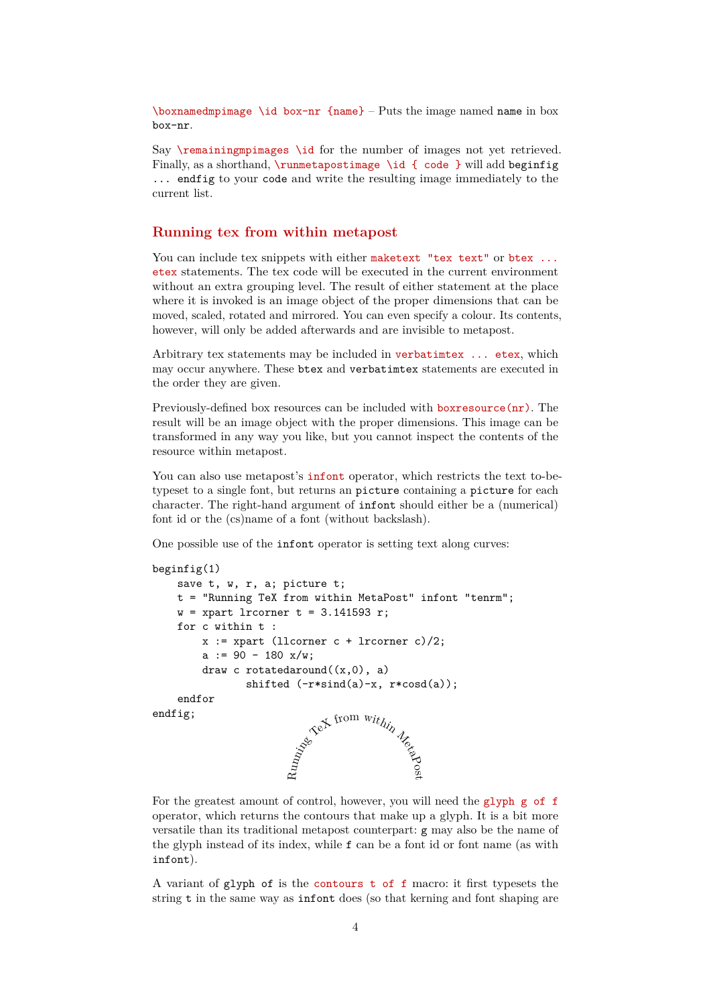$\bar{b}$  \boxnamedmpimage \id box-nr {name} – Puts the image named name in box box-nr.

Say \remainingmpimages \id for the number of images not yet retrieved. Finally, as a shorthand,  $\rm \t{1}$  (code } will add beginfig ... endfig to your code and write the resulting image immediately to the current list.

### <span id="page-3-0"></span>**Running tex from within metapost**

You can include tex snippets with either maketext "tex text" or btex ... etex statements. The tex code will be executed in the current environment without an extra grouping level. The result of either statement at the place where it is invoked is an image object of the proper dimensions that can be moved, scaled, rotated and mirrored. You can even specify a colour. Its contents, however, will only be added afterwards and are invisible to metapost.

Arbitrary tex statements may be included in verbatimtex ... etex, which may occur anywhere. These btex and verbatimtex statements are executed in the order they are given.

Previously-defined box resources can be included with boxresource(nr). The result will be an image object with the proper dimensions. This image can be transformed in any way you like, but you cannot inspect the contents of the resource within metapost.

You can also use metapost's **infont** operator, which restricts the text to-betypeset to a single font, but returns an picture containing a picture for each character. The right-hand argument of infont should either be a (numerical) font id or the (cs)name of a font (without backslash).

One possible use of the infont operator is setting text along curves:

```
beginfig(1)
    save t, w, r, a; picture t;
     t = "Running TeX from within MetaPost" infont "tenrm";
    w = xpart lrcorner t = 3.141593 r;
     for c within t :
        x := xpart (llcorner c + lrcorner c)/2;
        a := 90 - 180 x/w;
        draw c rotatedaround((x,0), a)shifted (-r*sin(d(a)-x, r*cost(a)); endfor
endfig;
                              a .<br>From within Metapost
```
For the greatest amount of control, however, you will need the glyph g of f operator, which returns the contours that make up a glyph. It is a bit more versatile than its traditional metapost counterpart: g may also be the name of the glyph instead of its index, while f can be a font id or font name (as with infont).

A variant of glyph of is the contours t of f macro: it first typesets the string t in the same way as infont does (so that kerning and font shaping are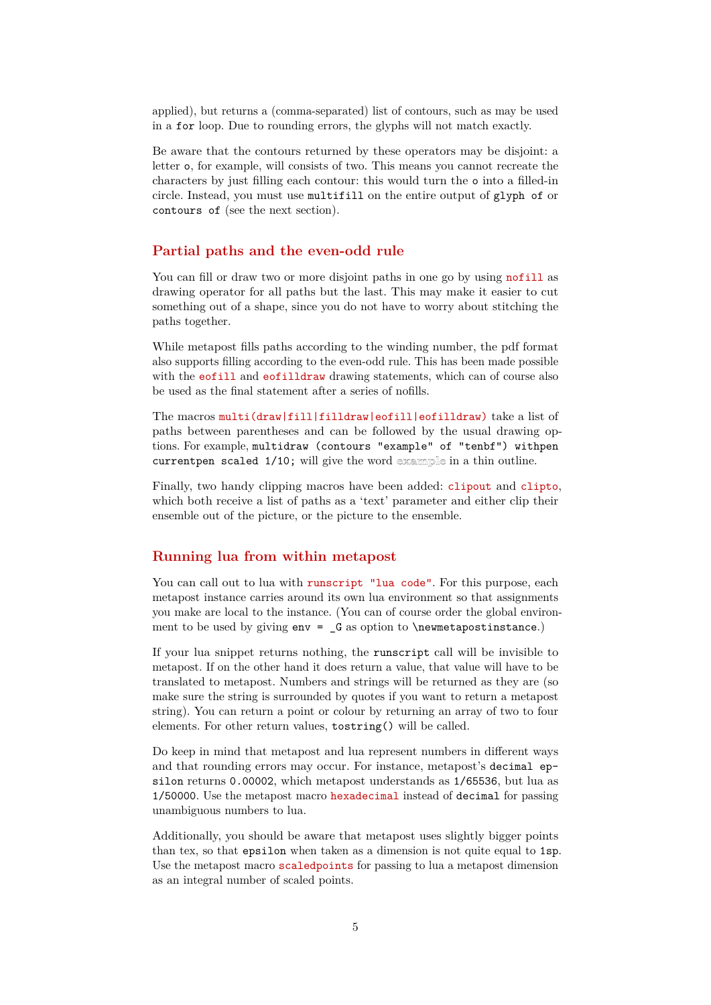applied), but returns a (comma-separated) list of contours, such as may be used in a for loop. Due to rounding errors, the glyphs will not match exactly.

Be aware that the contours returned by these operators may be disjoint: a letter o, for example, will consists of two. This means you cannot recreate the characters by just filling each contour: this would turn the o into a filled-in circle. Instead, you must use multifill on the entire output of glyph of or contours of (see the next section).

### <span id="page-4-0"></span>**Partial paths and the even-odd rule**

You can fill or draw two or more disjoint paths in one go by using nofill as drawing operator for all paths but the last. This may make it easier to cut something out of a shape, since you do not have to worry about stitching the paths together.

While metapost fills paths according to the winding number, the pdf format also supports filling according to the even-odd rule. This has been made possible with the eofill and eofilldraw drawing statements, which can of course also be used as the final statement after a series of nofills.

The macros multi(draw|fill|filldraw|eofill|eofilldraw) take a list of paths between parentheses and can be followed by the usual drawing options. For example, multidraw (contours "example" of "tenbf") withpen currentpen scaled  $1/10$ ; will give the word example in a thin outline.

Finally, two handy clipping macros have been added: clipout and clipto, which both receive a list of paths as a 'text' parameter and either clip their ensemble out of the picture, or the picture to the ensemble.

# <span id="page-4-1"></span>**Running lua from within metapost**

You can call out to lua with runscript "lua code". For this purpose, each metapost instance carries around its own lua environment so that assignments you make are local to the instance. (You can of course order the global environment to be used by giving  $env = G$  as option to  $\newcommand{\mbox}{\mbox{m}}$  hewmetapostinstance.)

If your lua snippet returns nothing, the runscript call will be invisible to metapost. If on the other hand it does return a value, that value will have to be translated to metapost. Numbers and strings will be returned as they are (so make sure the string is surrounded by quotes if you want to return a metapost string). You can return a point or colour by returning an array of two to four elements. For other return values, tostring() will be called.

Do keep in mind that metapost and lua represent numbers in different ways and that rounding errors may occur. For instance, metapost's decimal epsilon returns 0.00002, which metapost understands as 1/65536, but lua as 1/50000. Use the metapost macro hexadecimal instead of decimal for passing unambiguous numbers to lua.

Additionally, you should be aware that metapost uses slightly bigger points than tex, so that epsilon when taken as a dimension is not quite equal to 1sp. Use the metapost macro scaledpoints for passing to lua a metapost dimension as an integral number of scaled points.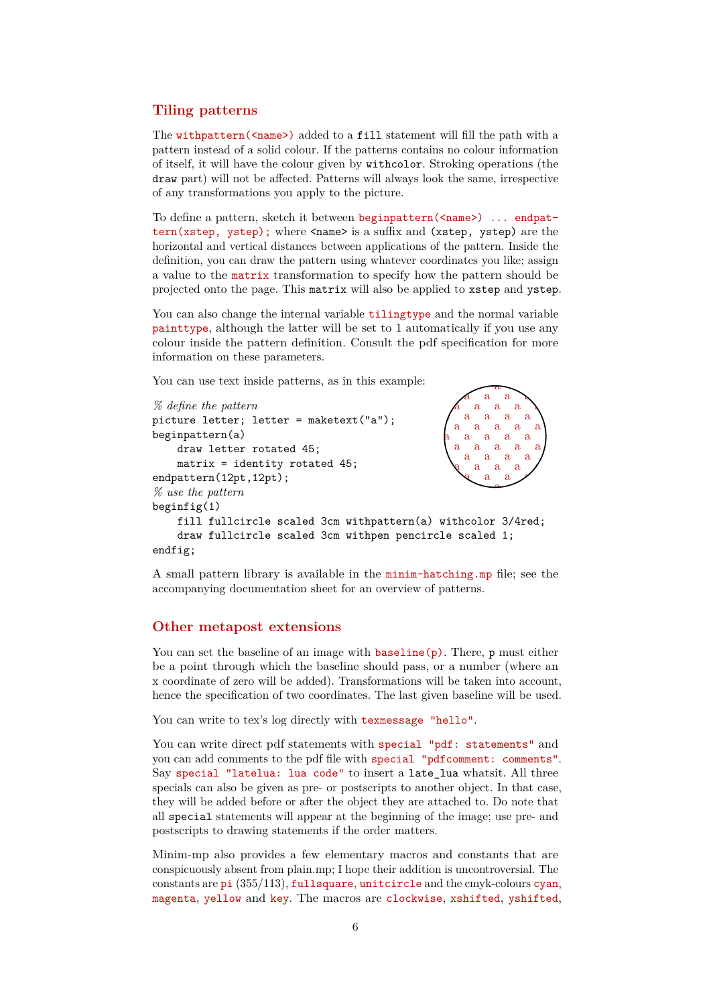### <span id="page-5-0"></span>**Tiling patterns**

The withpattern(<name>) added to a fill statement will fill the path with a pattern instead of a solid colour. If the patterns contains no colour information of itself, it will have the colour given by withcolor. Stroking operations (the draw part) will not be affected. Patterns will always look the same, irrespective of any transformations you apply to the picture.

To define a pattern, sketch it between beginpattern(<name>) ... endpattern(xstep, ystep); where <name> is a suffix and (xstep, ystep) are the horizontal and vertical distances between applications of the pattern. Inside the definition, you can draw the pattern using whatever coordinates you like; assign a value to the matrix transformation to specify how the pattern should be projected onto the page. This matrix will also be applied to xstep and ystep.

You can also change the internal variable **tilingtype** and the normal variable painttype, although the latter will be set to 1 automatically if you use any colour inside the pattern definition. Consult the pdf specification for more information on these parameters.

You can use text inside patterns, as in this example:

```
% define the pattern
                                                                                      \mathbf{a}\mathbf{a}picture letter; letter = maketext("a");
                                                                                         ă.
beginpattern(a)
                                                                                      \mathbf{a}\overline{a}\overline{a}\mathbf{a}\mathbf{a}\overline{a}\mathbf{a} draw letter rotated 45;
                                                                                              я
                                                                                 \alpha\alpha\alpha matrix = identity rotated 45;
                                                                               \overline{a}\overline{a}\overline{a}endpattern(12pt,12pt);
                                                                                 \mathbf{a}\overline{a}% use the pattern
beginfig(1)
       fill fullcircle scaled 3cm withpattern(a) withcolor 3/4red;
       draw fullcircle scaled 3cm withpen pencircle scaled 1;
endfig;
```
A small pattern library is available in the minim-hatching.mp file; see the accompanying documentation sheet for an overview of patterns.

### <span id="page-5-1"></span>**Other metapost extensions**

You can set the baseline of an image with  $\mathbf{baseline}(\mathbf{p})$ . There,  $\mathbf{p}$  must either be a point through which the baseline should pass, or a number (where an x coordinate of zero will be added). Transformations will be taken into account, hence the specification of two coordinates. The last given baseline will be used.

You can write to tex's log directly with texmessage "hello".

You can write direct pdf statements with special "pdf: statements" and you can add comments to the pdf file with special "pdfcomment: comments". Say special "latelua: lua code" to insert a late\_lua whatsit. All three specials can also be given as pre- or postscripts to another object. In that case, they will be added before or after the object they are attached to. Do note that all special statements will appear at the beginning of the image; use pre- and postscripts to drawing statements if the order matters.

Minim-mp also provides a few elementary macros and constants that are conspicuously absent from plain.mp; I hope their addition is uncontroversial. The constants are pi  $(355/113)$ , fullsquare, unitcircle and the cmyk-colours cyan, magenta, yellow and key. The macros are clockwise, xshifted, yshifted,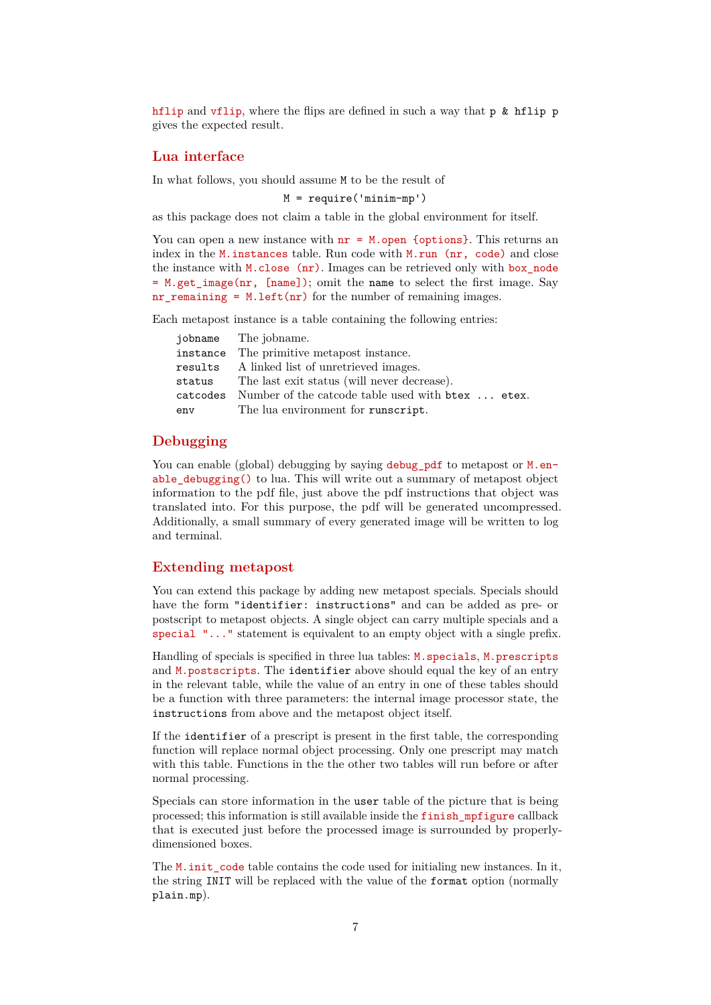hflip and vflip, where the flips are defined in such a way that p & hflip p gives the expected result.

#### <span id="page-6-0"></span>**Lua interface**

In what follows, you should assume M to be the result of

 $M = \text{require('minimum-mp')}$ 

as this package does not claim a table in the global environment for itself.

You can open a new instance with  $nr = M$ . open {options}. This returns an index in the M.instances table. Run code with M.run (nr, code) and close the instance with M.close (nr). Images can be retrieved only with box\_node = M.get\_image(nr, [name]); omit the name to select the first image. Say  $nr$ <sup>remaining = M.left(nr)</sup> for the number of remaining images.

Each metapost instance is a table containing the following entries:

|        | jobname The jobname.                                       |
|--------|------------------------------------------------------------|
|        | instance The primitive metapost instance.                  |
|        | results A linked list of unretrieved images.               |
| status | The last exit status (will never decrease).                |
|        | catcodes Number of the catcode table used with btex  etex. |
| env    | The lua environment for runscript.                         |

### <span id="page-6-1"></span>**Debugging**

You can enable (global) debugging by saying debug pdf to metapost or M.enable debugging() to lua. This will write out a summary of metapost object information to the pdf file, just above the pdf instructions that object was translated into. For this purpose, the pdf will be generated uncompressed. Additionally, a small summary of every generated image will be written to log and terminal.

### <span id="page-6-2"></span>**Extending metapost**

You can extend this package by adding new metapost specials. Specials should have the form "identifier: instructions" and can be added as pre- or postscript to metapost objects. A single object can carry multiple specials and a special "..." statement is equivalent to an empty object with a single prefix.

Handling of specials is specified in three lua tables: M.specials, M.prescripts and M.postscripts. The identifier above should equal the key of an entry in the relevant table, while the value of an entry in one of these tables should be a function with three parameters: the internal image processor state, the instructions from above and the metapost object itself.

If the identifier of a prescript is present in the first table, the corresponding function will replace normal object processing. Only one prescript may match with this table. Functions in the the other two tables will run before or after normal processing.

Specials can store information in the user table of the picture that is being processed; this information is still available inside the finish\_mpfigure callback that is executed just before the processed image is surrounded by properlydimensioned boxes.

The M. init\_code table contains the code used for initialing new instances. In it, the string INIT will be replaced with the value of the format option (normally plain.mp).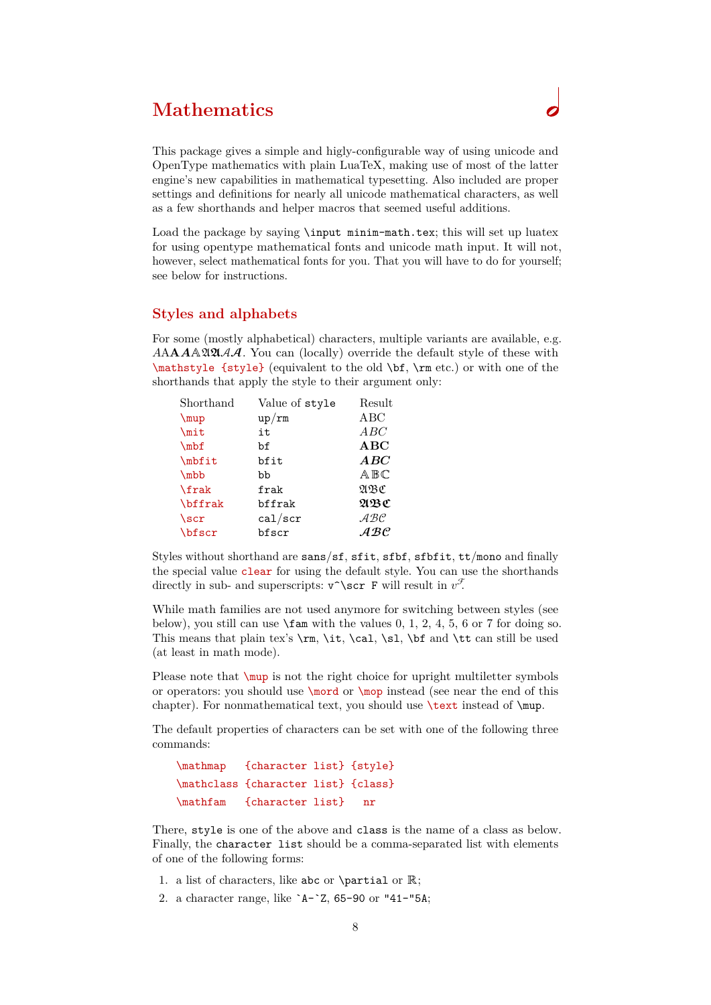# <span id="page-7-0"></span>**Mathematics**

This package gives a simple and higly-configurable way of using unicode and OpenType mathematics with plain LuaTeX, making use of most of the latter engine's new capabilities in mathematical typesetting. Also included are proper settings and definitions for nearly all unicode mathematical characters, as well as a few shorthands and helper macros that seemed useful additions.

Load the package by saying \input minim-math.tex; this will set up luatex for using opentype mathematical fonts and unicode math input. It will not, however, select mathematical fonts for you. That you will have to do for yourself; see below for instructions.

### <span id="page-7-1"></span>**Styles and alphabets**

For some (mostly alphabetical) characters, multiple variants are available, e.g.  $A\mathbf{A}A\mathbf{A}\mathbf{B}\mathbf{B}\mathbf{A}\mathbf{A}$ . You can (locally) override the default style of these with \mathstyle {style} (equivalent to the old \bf, \rm etc.) or with one of the shorthands that apply the style to their argument only:

| Shorthand      | Value of style | Result                                |
|----------------|----------------|---------------------------------------|
| $\mu$          | up/rm          | ABC                                   |
| \mit           | it             | ABC                                   |
| $\verb \mbf $  | bf             | ABC                                   |
| \mbfit         | bfit           | ABC                                   |
| $\nmb{b}$      | bb             | $A$ $B$ $C$                           |
| \frak          | frak           | ABC                                   |
| <b>\bffrak</b> | bffrak         | ABC                                   |
| $\verb \scr $  | cal/scr        | $\mathcal{A} \mathcal{B} \mathcal{C}$ |
| <b>\bfscr</b>  | bfscr          | $\mathcal{A} \mathcal{B} \mathcal{C}$ |

Styles without shorthand are sans/sf, sfit, sfbf, sfbfit, tt/mono and finally the special value clear for using the default style. You can use the shorthands directly in sub- and superscripts:  $\mathbf{v}^*$   $\mathbf{x}$  F will result in  $v^{\mathcal{F}}$ .

While math families are not used anymore for switching between styles (see below), you still can use  $\tan \text{ with the values } 0, 1, 2, 4, 5, 6 \text{ or } 7 \text{ for doing so.}$ This means that plain tex's  $\rm \iota, \iota, \sll, \bif and \tt \iota$  can still be used (at least in math mode).

Please note that  $\mu$  is not the right choice for upright multiletter symbols or operators: you should use  $\mod$  or  $\mod$  instead (see near the end of this chapter). For nonmathematical text, you should use **\text** instead of **\mup**.

The default properties of characters can be set with one of the following three commands:

```
 \mathmap {character list} {style}
 \mathclass {character list} {class}
 \mathfam {character list} nr
```
There, style is one of the above and class is the name of a class as below. Finally, the character list should be a comma-separated list with elements of one of the following forms:

- 1. a list of characters, like abc or \partial or ℝ;
- 2. a character range, like `A-`Z, 65-90 or "41-"5A;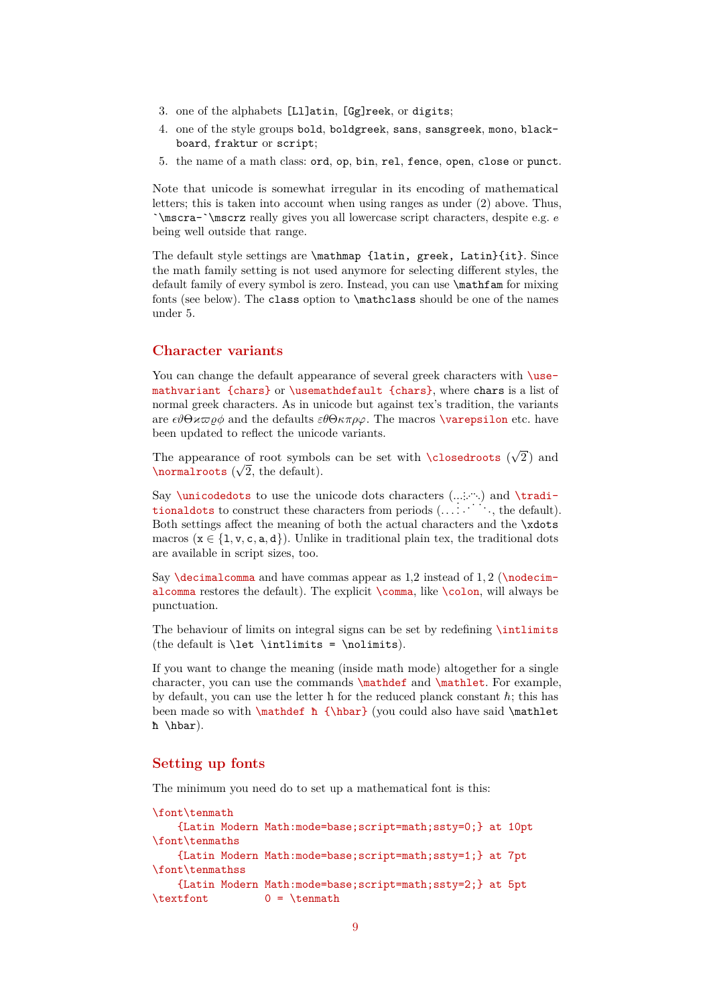- 3. one of the alphabets [Ll]atin, [Gg]reek, or digits;
- 4. one of the style groups bold, boldgreek, sans, sansgreek, mono, blackboard, fraktur or script;
- 5. the name of a math class: ord, op, bin, rel, fence, open, close or punct.

Note that unicode is somewhat irregular in its encoding of mathematical letters; this is taken into account when using ranges as under (2) above. Thus, `\mscra-`\mscrz really gives you all lowercase script characters, despite e.g. e being well outside that range.

The default style settings are \mathmap {latin, greek, Latin}{it}. Since the math family setting is not used anymore for selecting different styles, the default family of every symbol is zero. Instead, you can use \mathfam for mixing fonts (see below). The class option to \mathclass should be one of the names under 5.

### <span id="page-8-0"></span>**Character variants**

You can change the default appearance of several greek characters with  $\iota$ usemathvariant {chars} or \usemathdefault {chars}, where chars is a list of normal greek characters. As in unicode but against tex's tradition, the variants are  $\epsilon \theta \Theta \nu \varpi \rho \phi$  and the defaults  $\epsilon \theta \Theta \kappa \pi \rho \varphi$ . The macros **\varepsilon** etc. have been updated to reflect the unicode variants.

The appearance of root symbols can be set with \closedroots ( √  $\overline{2}$ ) and The appearance of root symbol.<br> $\overline{\text{normalroots}}$  ( $\sqrt{2}$ , the default).

Say **\unicodedots** to use the unicode dots characters  $(\ldots, \ldots)$  and **\tradi**bay vanicoded outs to use the unicode dots characters  $( ..., \cdot )$  and vertical tional dots to construct these characters from periods  $( ... \cdot )$ ; the default). Both settings affect the meaning of both the actual characters and the \xdots macros ( $x \in \{1, v, c, a, d\}$ ). Unlike in traditional plain tex, the traditional dots are available in script sizes, too.

Say **\decimalcomma** and have commas appear as  $1,2$  instead of  $1,2$  (**\nodecim**alcomma restores the default). The explicit \comma, like \colon, will always be punctuation.

The behaviour of limits on integral signs can be set by redefining \intlimits (the default is **\let \intlimits = \nolimits**).

If you want to change the meaning (inside math mode) altogether for a single character, you can use the commands \mathdef and \mathlet. For example, by default, you can use the letter  $\hbar$  for the reduced planck constant  $\hbar$ ; this has been made so with **\mathdef ħ {\hbar}** (you could also have said **\mathlet** ħ \hbar).

# <span id="page-8-1"></span>**Setting up fonts**

The minimum you need do to set up a mathematical font is this:

```
\font\tenmath
     {Latin Modern Math:mode=base;script=math;ssty=0;} at 10pt
\font\tenmaths
     {Latin Modern Math:mode=base;script=math;ssty=1;} at 7pt
\font\tenmathss
     {Latin Modern Math:mode=base;script=math;ssty=2;} at 5pt
\text{textont} 0 = \tenmath
```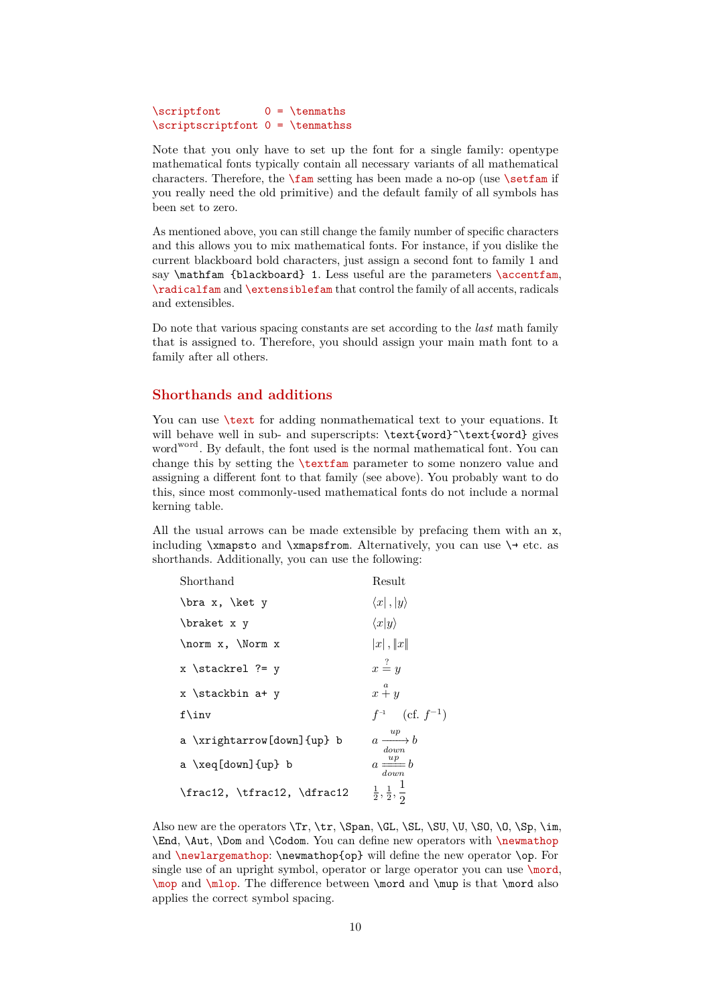```
\scriptsize\text{\textbackslash} \scriptfont 0 = \tenmaths
\scriptscriptfont 0 = \tenmathss
```
Note that you only have to set up the font for a single family: opentype mathematical fonts typically contain all necessary variants of all mathematical characters. Therefore, the  $\times$  setting has been made a no-op (use  $\setminus$ setfam if you really need the old primitive) and the default family of all symbols has been set to zero.

As mentioned above, you can still change the family number of specific characters and this allows you to mix mathematical fonts. For instance, if you dislike the current blackboard bold characters, just assign a second font to family 1 and say **\mathfam** {blackboard} 1. Less useful are the parameters **\accentfam**, \radicalfam and \extensiblefam that control the family of all accents, radicals and extensibles.

Do note that various spacing constants are set according to the *last* math family that is assigned to. Therefore, you should assign your main math font to a family after all others.

#### <span id="page-9-0"></span>**Shorthands and additions**

You can use  $\text{text}$  for adding nonmathematical text to your equations. It will behave well in sub- and superscripts: \text{word}^\text{word} gives word<sup>word</sup>. By default, the font used is the normal mathematical font. You can change this by setting the \textfam parameter to some nonzero value and assigning a different font to that family (see above). You probably want to do this, since most commonly-used mathematical fonts do not include a normal kerning table.

All the usual arrows can be made extensible by prefacing them with an x, including  $\times$  and  $\times$  from. Alternatively, you can use  $\rightarrow$  etc. as shorthands. Additionally, you can use the following:

| Shorthand                                  | Result                                  |
|--------------------------------------------|-----------------------------------------|
| \bra x, \ket y                             | $\langle x ,  y\rangle$                 |
| \braket x y                                | $\langle x y\rangle$                    |
| \norm x, \Norm x                           | x ,   x                                 |
| $x \text{ \texttt{stackrel} \texttt{?= y}$ | $x \stackrel{?}{=} y$                   |
| x \stackbin a+ y                           | $x \stackrel{a}{+} y$                   |
| $f\in V$                                   | $f^{-1}$ (cf. $f^{-1}$ )                |
| a \xrightarrow[down]{up} b                 | $a \xrightarrow{up} b$<br>down          |
| a \xeq[down]{up} b                         | $a \stackrel{up}{=} b$<br>down          |
| \frac12, \tfrac12, \dfrac12                | $\frac{1}{2}, \frac{1}{2}, \frac{1}{2}$ |
|                                            |                                         |

Also new are the operators  $\Tr$ ,  $\trth$ ,  $\Span$ ,  $GL$ ,  $SL$ ,  $SU$ ,  $U$ ,  $\SO$ ,  $0$ ,  $\Sp$ ,  $\imath$ m, \End, \Aut, \Dom and \Codom. You can define new operators with \newmathop and \newlargemathop: \newmathop{op} will define the new operator \op. For single use of an upright symbol, operator or large operator you can use \mord, \mop and \mlop. The difference between \mord and \mup is that \mord also applies the correct symbol spacing.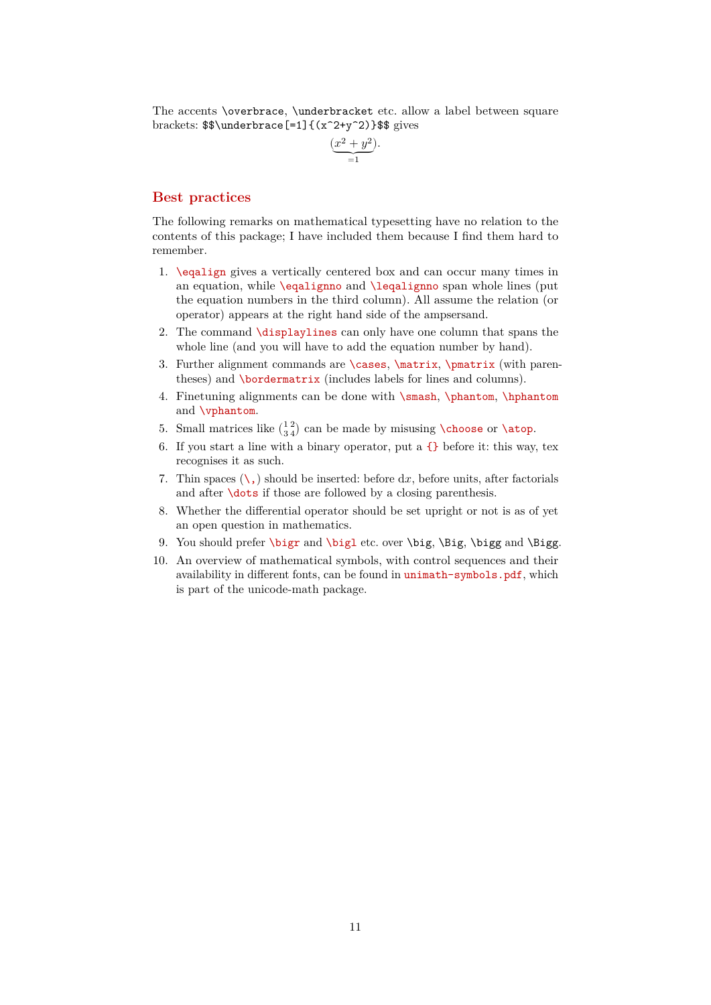The accents \overbrace, \underbracket etc. allow a label between square brackets: \$\$\underbrace[=1]{(x^2+y^2)}\$\$ gives

$$
\underbrace{(x^2+y^2)}_{=1}.
$$

### <span id="page-10-0"></span>**Best practices**

The following remarks on mathematical typesetting have no relation to the contents of this package; I have included them because I find them hard to remember.

- 1. \eqalign gives a vertically centered box and can occur many times in an equation, while \eqalignno and \leqalignno span whole lines (put the equation numbers in the third column). All assume the relation (or operator) appears at the right hand side of the ampsersand.
- 2. The command \displaylines can only have one column that spans the whole line (and you will have to add the equation number by hand).
- 3. Further alignment commands are \cases, \matrix, \pmatrix (with parentheses) and \bordermatrix (includes labels for lines and columns).
- 4. Finetuning alignments can be done with \smash, \phantom, \hphantom and \vphantom.
- 5. Small matrices like  $\binom{12}{34}$  can be made by misusing **\choose** or **\atop**.
- 6. If you start a line with a binary operator, put a  $\{\}$  before it: this way, tex recognises it as such.
- 7. Thin spaces  $(\cdot, \cdot)$  should be inserted: before dx, before units, after factorials and after **\dots** if those are followed by a closing parenthesis.
- 8. Whether the differential operator should be set upright or not is as of yet an open question in mathematics.
- 9. You should prefer \bigr and \bigl etc. over \big, \Big, \bigg and \Bigg.
- 10. An overview of mathematical symbols, with control sequences and their availability in different fonts, can be found in unimath-symbols.pdf, which is part of the unicode-math package.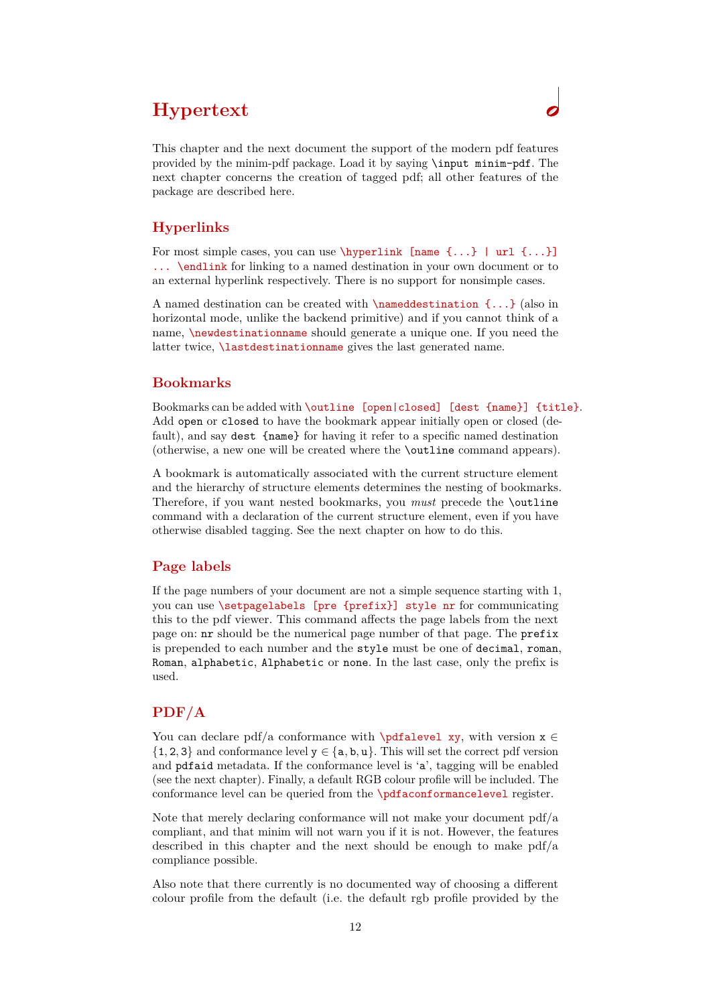# <span id="page-11-0"></span>**Hypertext**

This chapter and the next document the support of the modern pdf features provided by the minim-pdf package. Load it by saying \input minim-pdf. The next chapter concerns the creation of tagged pdf; all other features of the package are described here.

# <span id="page-11-1"></span>**Hyperlinks**

For most simple cases, you can use \hyperlink [name {...} | url {...}] ... \endlink for linking to a named destination in your own document or to an external hyperlink respectively. There is no support for nonsimple cases.

A named destination can be created with  $\lambda$  named destination  $\{\ldots\}$  (also in horizontal mode, unlike the backend primitive) and if you cannot think of a name, \newdestinationname should generate a unique one. If you need the latter twice, **\lastdestinationname** gives the last generated name.

# <span id="page-11-2"></span>**Bookmarks**

Bookmarks can be added with \outline [open|closed] [dest {name}] {title}. Add open or closed to have the bookmark appear initially open or closed (default), and say dest {name} for having it refer to a specific named destination (otherwise, a new one will be created where the \outline command appears).

A bookmark is automatically associated with the current structure element and the hierarchy of structure elements determines the nesting of bookmarks. Therefore, if you want nested bookmarks, you *must* precede the \outline command with a declaration of the current structure element, even if you have otherwise disabled tagging. See the next chapter on how to do this.

# <span id="page-11-3"></span>**Page labels**

If the page numbers of your document are not a simple sequence starting with 1, you can use \setpagelabels [pre {prefix}] style nr for communicating this to the pdf viewer. This command affects the page labels from the next page on: nr should be the numerical page number of that page. The prefix is prepended to each number and the style must be one of decimal, roman, Roman, alphabetic, Alphabetic or none. In the last case, only the prefix is used.

# <span id="page-11-4"></span>**PDF/A**

You can declare pdf/a conformance with \pdfalevel xy, with version  $x \in$  $\{1, 2, 3\}$  and conformance level  $y \in \{a, b, u\}$ . This will set the correct pdf version and pdfaid metadata. If the conformance level is 'a', tagging will be enabled (see the next chapter). Finally, a default RGB colour profile will be included. The conformance level can be queried from the \pdfaconformancelevel register.

Note that merely declaring conformance will not make your document pdf/a compliant, and that minim will not warn you if it is not. However, the features described in this chapter and the next should be enough to make  $pdf/a$ compliance possible.

Also note that there currently is no documented way of choosing a different colour profile from the default (i.e. the default rgb profile provided by the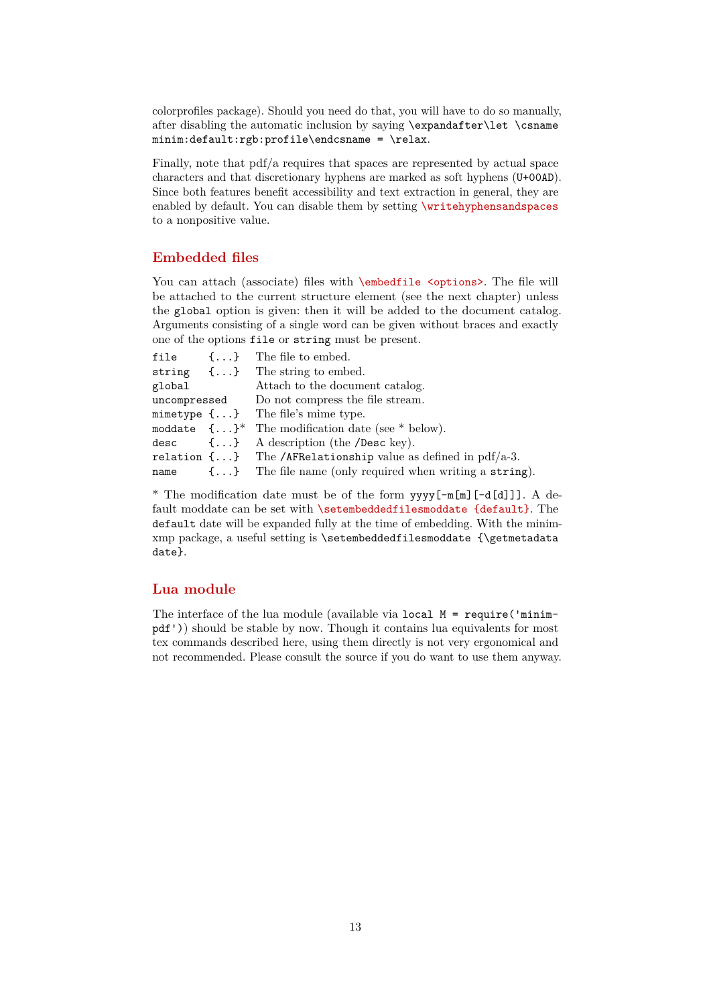colorprofiles package). Should you need do that, you will have to do so manually, after disabling the automatic inclusion by saying \expandafter\let \csname minim:default:rgb:profile\endcsname = \relax.

Finally, note that pdf/a requires that spaces are represented by actual space characters and that discretionary hyphens are marked as soft hyphens (U+00AD). Since both features benefit accessibility and text extraction in general, they are enabled by default. You can disable them by setting \writehyphensandspaces to a nonpositive value.

# <span id="page-12-0"></span>**Embedded files**

You can attach (associate) files with \embedfile <options>. The file will be attached to the current structure element (see the next chapter) unless the global option is given: then it will be added to the document catalog. Arguments consisting of a single word can be given without braces and exactly one of the options file or string must be present.

|        | file {} The file to embed.                                               |
|--------|--------------------------------------------------------------------------|
|        | string $\{\ldots\}$ The string to embed.                                 |
| global | Attach to the document catalog.                                          |
|        | uncompressed Do not compress the file stream.                            |
|        | mimetype $\{ \ldots \}$ The file's mime type.                            |
|        | moddate $\{\ldots\}^*$ The modification date (see * below).              |
|        | desc $\{\ldots\}$ A description (the <i>Desc</i> key).                   |
|        | relation $\{ \ldots \}$ The /AFRelationship value as defined in pdf/a-3. |
|        | name $\{\ldots\}$ The file name (only required when writing a string).   |

\* The modification date must be of the form yyyy[-m[m][-d[d]]]. A default moddate can be set with **\setembeddedfilesmoddate** {default}. The default date will be expanded fully at the time of embedding. With the minimxmp package, a useful setting is \setembeddedfilesmoddate {\getmetadata date}.

### <span id="page-12-1"></span>**Lua module**

The interface of the lua module (available via local  $M = \text{require('minim--}$ pdf')) should be stable by now. Though it contains lua equivalents for most tex commands described here, using them directly is not very ergonomical and not recommended. Please consult the source if you do want to use them anyway.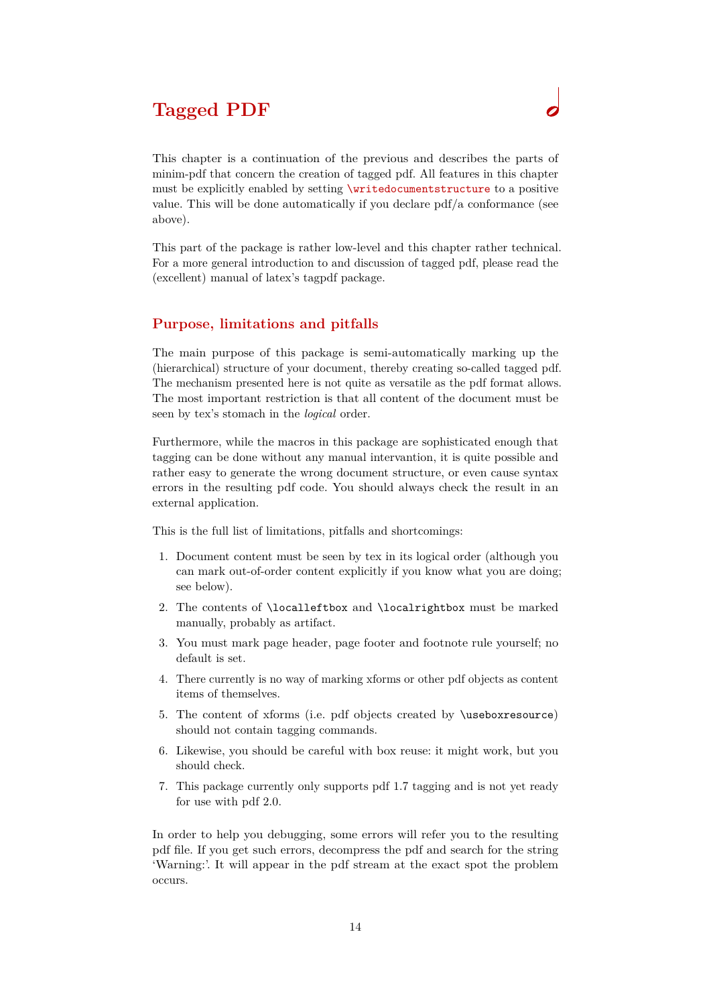# <span id="page-13-0"></span>**Tagged PDF**

This chapter is a continuation of the previous and describes the parts of minim-pdf that concern the creation of tagged pdf. All features in this chapter must be explicitly enabled by setting \writedocumentstructure to a positive value. This will be done automatically if you declare pdf/a conformance (see above).

This part of the package is rather low-level and this chapter rather technical. For a more general introduction to and discussion of tagged pdf, please read the (excellent) manual of latex's tagpdf package.

# <span id="page-13-1"></span>**Purpose, limitations and pitfalls**

The main purpose of this package is semi-automatically marking up the (hierarchical) structure of your document, thereby creating so-called tagged pdf. The mechanism presented here is not quite as versatile as the pdf format allows. The most important restriction is that all content of the document must be seen by tex's stomach in the *logical* order.

Furthermore, while the macros in this package are sophisticated enough that tagging can be done without any manual intervantion, it is quite possible and rather easy to generate the wrong document structure, or even cause syntax errors in the resulting pdf code. You should always check the result in an external application.

This is the full list of limitations, pitfalls and shortcomings:

- 1. Document content must be seen by tex in its logical order (although you can mark out-of-order content explicitly if you know what you are doing; see below).
- 2. The contents of \localleftbox and \localrightbox must be marked manually, probably as artifact.
- 3. You must mark page header, page footer and footnote rule yourself; no default is set.
- 4. There currently is no way of marking xforms or other pdf objects as content items of themselves.
- 5. The content of xforms (i.e. pdf objects created by \useboxresource) should not contain tagging commands.
- 6. Likewise, you should be careful with box reuse: it might work, but you should check.
- 7. This package currently only supports pdf 1.7 tagging and is not yet ready for use with pdf 2.0.

In order to help you debugging, some errors will refer you to the resulting pdf file. If you get such errors, decompress the pdf and search for the string 'Warning:'. It will appear in the pdf stream at the exact spot the problem occurs.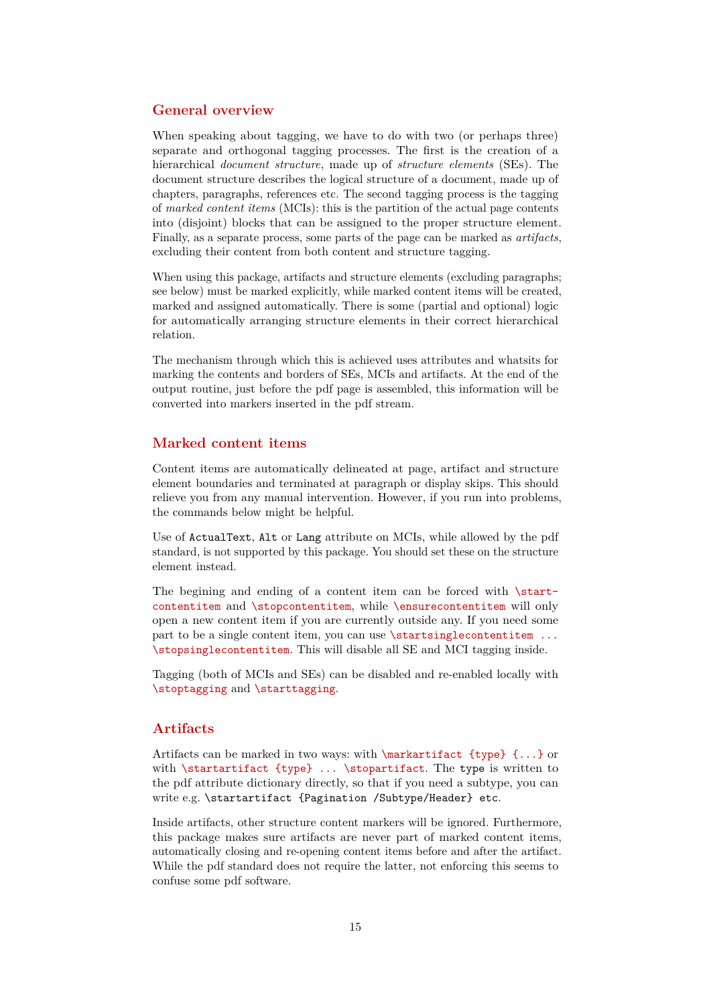### <span id="page-14-0"></span>**General overview**

When speaking about tagging, we have to do with two (or perhaps three) separate and orthogonal tagging processes. The first is the creation of a hierarchical *document structure*, made up of *structure elements* (SEs). The document structure describes the logical structure of a document, made up of chapters, paragraphs, references etc. The second tagging process is the tagging of *marked content items* (MCIs): this is the partition of the actual page contents into (disjoint) blocks that can be assigned to the proper structure element. Finally, as a separate process, some parts of the page can be marked as *artifacts*, excluding their content from both content and structure tagging.

When using this package, artifacts and structure elements (excluding paragraphs; see below) must be marked explicitly, while marked content items will be created, marked and assigned automatically. There is some (partial and optional) logic for automatically arranging structure elements in their correct hierarchical relation.

The mechanism through which this is achieved uses attributes and whatsits for marking the contents and borders of SEs, MCIs and artifacts. At the end of the output routine, just before the pdf page is assembled, this information will be converted into markers inserted in the pdf stream.

### <span id="page-14-1"></span>**Marked content items**

Content items are automatically delineated at page, artifact and structure element boundaries and terminated at paragraph or display skips. This should relieve you from any manual intervention. However, if you run into problems, the commands below might be helpful.

Use of ActualText, Alt or Lang attribute on MCIs, while allowed by the pdf standard, is not supported by this package. You should set these on the structure element instead.

The begining and ending of a content item can be forced with  $\start$ contentitem and \stopcontentitem, while \ensurecontentitem will only open a new content item if you are currently outside any. If you need some part to be a single content item, you can use **\startsinglecontentitem** ... \stopsinglecontentitem. This will disable all SE and MCI tagging inside.

Tagging (both of MCIs and SEs) can be disabled and re-enabled locally with \stoptagging and \starttagging.

# <span id="page-14-2"></span>**Artifacts**

Artifacts can be marked in two ways: with \markartifact {type} {...} or with \startartifact {type} ... \stopartifact. The type is written to the pdf attribute dictionary directly, so that if you need a subtype, you can write e.g. \startartifact {Pagination /Subtype/Header} etc.

Inside artifacts, other structure content markers will be ignored. Furthermore, this package makes sure artifacts are never part of marked content items, automatically closing and re-opening content items before and after the artifact. While the pdf standard does not require the latter, not enforcing this seems to confuse some pdf software.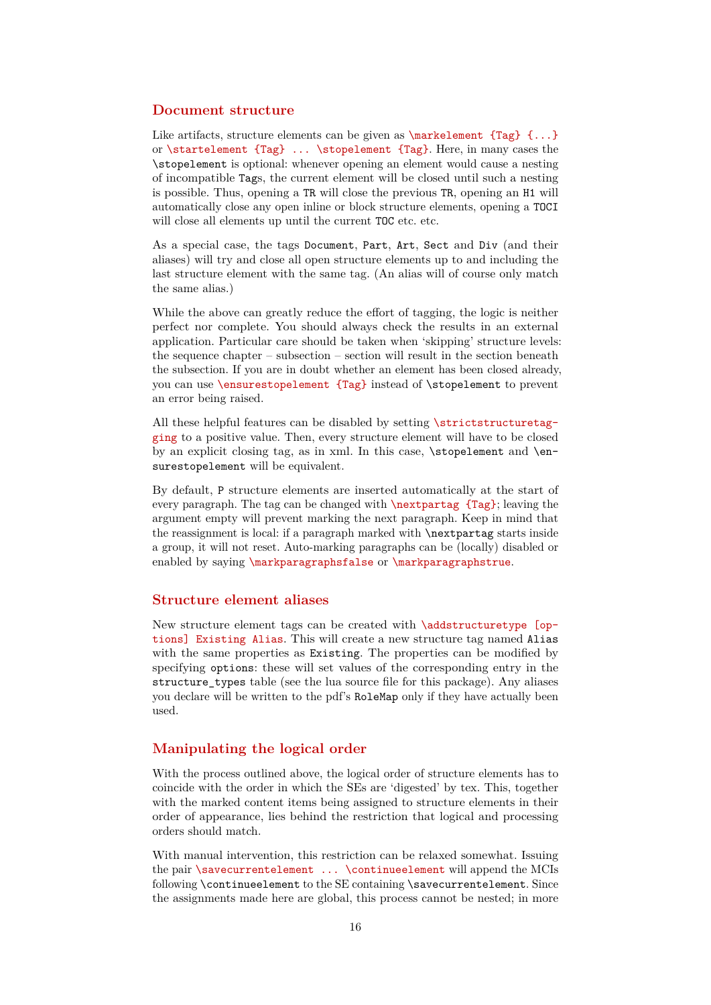### <span id="page-15-0"></span>**Document structure**

Like artifacts, structure elements can be given as  $\text{Length } \{... \}$ or \startelement {Tag} ... \stopelement {Tag}. Here, in many cases the \stopelement is optional: whenever opening an element would cause a nesting of incompatible Tags, the current element will be closed until such a nesting is possible. Thus, opening a TR will close the previous TR, opening an H1 will automatically close any open inline or block structure elements, opening a TOCI will close all elements up until the current TOC etc. etc.

As a special case, the tags Document, Part, Art, Sect and Div (and their aliases) will try and close all open structure elements up to and including the last structure element with the same tag. (An alias will of course only match the same alias.)

While the above can greatly reduce the effort of tagging, the logic is neither perfect nor complete. You should always check the results in an external application. Particular care should be taken when 'skipping' structure levels: the sequence chapter – subsection – section will result in the section beneath the subsection. If you are in doubt whether an element has been closed already, you can use \ensurestopelement {Tag} instead of \stopelement to prevent an error being raised.

All these helpful features can be disabled by setting \strictstructuretagging to a positive value. Then, every structure element will have to be closed by an explicit closing tag, as in xml. In this case,  $\step{step{element} and \en-}$ surestopelement will be equivalent.

By default, P structure elements are inserted automatically at the start of every paragraph. The tag can be changed with \nextpartag {Tag}; leaving the argument empty will prevent marking the next paragraph. Keep in mind that the reassignment is local: if a paragraph marked with \nextpartag starts inside a group, it will not reset. Auto-marking paragraphs can be (locally) disabled or enabled by saying \markparagraphsfalse or \markparagraphstrue.

# <span id="page-15-1"></span>**Structure element aliases**

New structure element tags can be created with \addstructuretype [options] Existing Alias. This will create a new structure tag named Alias with the same properties as Existing. The properties can be modified by specifying options: these will set values of the corresponding entry in the structure types table (see the lua source file for this package). Any aliases you declare will be written to the pdf's RoleMap only if they have actually been used.

### <span id="page-15-2"></span>**Manipulating the logical order**

With the process outlined above, the logical order of structure elements has to coincide with the order in which the SEs are 'digested' by tex. This, together with the marked content items being assigned to structure elements in their order of appearance, lies behind the restriction that logical and processing orders should match.

With manual intervention, this restriction can be relaxed somewhat. Issuing the pair \savecurrentelement ... \continueelement will append the MCIs following \continueelement to the SE containing \savecurrentelement. Since the assignments made here are global, this process cannot be nested; in more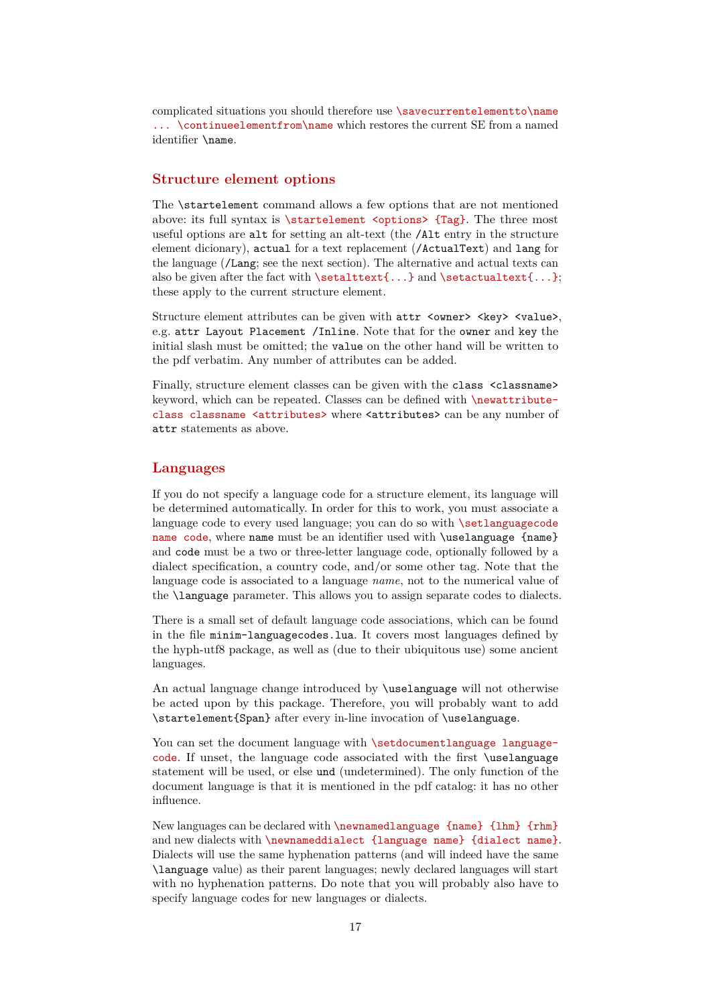complicated situations you should therefore use \savecurrentelementto\name ... \continueelementfrom\name which restores the current SE from a named identifier \name.

# <span id="page-16-0"></span>**Structure element options**

The \startelement command allows a few options that are not mentioned above: its full syntax is  $\start$  is  $\centerdot$   $\centerdot$   $\centerdot$   $\centerdot$   $\centerdot$   $\centerdot$   $\centerdot$   $\centerdot$   $\centerdot$   $\centerdot$   $\centerdot$   $\centerdot$   $\centerdot$   $\centerdot$   $\centerdot$   $\centerdot$   $\centerdot$   $\centerdot$   $\centerdot$   $\centerdot$   $\centerdot$   $\centerdot$   $\centerdot$   $\centerdot$   $\centerdot$   $\centerdot$   $\centerdot$   $\centerdot$   $\centerdot$   $\centerdot$   $\centerdot$  useful options are alt for setting an alt-text (the /Alt entry in the structure element dicionary), actual for a text replacement (/ActualText) and lang for the language (/Lang; see the next section). The alternative and actual texts can also be given after the fact with  $\setminus \setminus \set{...}$  and  $\setminus \set{...}$ ; these apply to the current structure element.

Structure element attributes can be given with  $attr$  <ware> <key> <value>, e.g. attr Layout Placement /Inline. Note that for the owner and key the initial slash must be omitted; the value on the other hand will be written to the pdf verbatim. Any number of attributes can be added.

Finally, structure element classes can be given with the class <classname> keyword, which can be repeated. Classes can be defined with \newattributeclass classname <attributes> where <attributes> can be any number of attr statements as above.

### <span id="page-16-1"></span>**Languages**

If you do not specify a language code for a structure element, its language will be determined automatically. In order for this to work, you must associate a language code to every used language; you can do so with \setlanguagecode name code, where name must be an identifier used with \uselanguage {name} and code must be a two or three-letter language code, optionally followed by a dialect specification, a country code, and/or some other tag. Note that the language code is associated to a language *name*, not to the numerical value of the \language parameter. This allows you to assign separate codes to dialects.

There is a small set of default language code associations, which can be found in the file minim-languagecodes.lua. It covers most languages defined by the hyph-utf8 package, as well as (due to their ubiquitous use) some ancient languages.

An actual language change introduced by \uselanguage will not otherwise be acted upon by this package. Therefore, you will probably want to add \startelement{Span} after every in-line invocation of \uselanguage.

You can set the document language with \setdocumentlanguage languagecode. If unset, the language code associated with the first \uselanguage statement will be used, or else und (undetermined). The only function of the document language is that it is mentioned in the pdf catalog: it has no other influence.

New languages can be declared with \newnamedlanguage {name} {lhm} {rhm} and new dialects with \newnameddialect {language name} {dialect name}. Dialects will use the same hyphenation patterns (and will indeed have the same \language value) as their parent languages; newly declared languages will start with no hyphenation patterns. Do note that you will probably also have to specify language codes for new languages or dialects.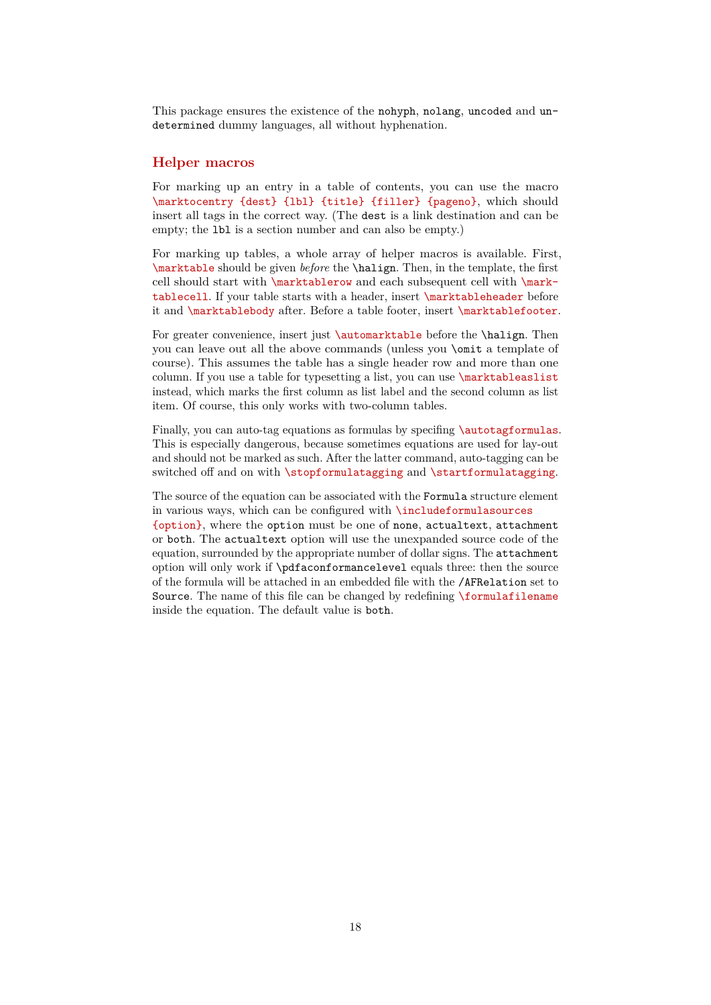This package ensures the existence of the nohyph, nolang, uncoded and undetermined dummy languages, all without hyphenation.

### <span id="page-17-0"></span>**Helper macros**

For marking up an entry in a table of contents, you can use the macro \marktocentry {dest} {lbl} {title} {filler} {pageno}, which should insert all tags in the correct way. (The dest is a link destination and can be empty; the lbl is a section number and can also be empty.)

For marking up tables, a whole array of helper macros is available. First, \marktable should be given *before* the \halign. Then, in the template, the first cell should start with \marktablerow and each subsequent cell with \marktablecell. If your table starts with a header, insert \marktableheader before it and \marktablebody after. Before a table footer, insert \marktablefooter.

For greater convenience, insert just **\automarktable** before the **\halign**. Then you can leave out all the above commands (unless you \omit a template of course). This assumes the table has a single header row and more than one column. If you use a table for typesetting a list, you can use \marktableaslist instead, which marks the first column as list label and the second column as list item. Of course, this only works with two-column tables.

Finally, you can auto-tag equations as formulas by specifing *\autotagformulas*. This is especially dangerous, because sometimes equations are used for lay-out and should not be marked as such. After the latter command, auto-tagging can be switched off and on with \stopformulatagging and \startformulatagging.

The source of the equation can be associated with the Formula structure element in various ways, which can be configured with \includeformulasources {option}, where the option must be one of none, actualtext, attachment or both. The actualtext option will use the unexpanded source code of the equation, surrounded by the appropriate number of dollar signs. The attachment option will only work if \pdfaconformancelevel equals three: then the source of the formula will be attached in an embedded file with the /AFRelation set to Source. The name of this file can be changed by redefining \formulafilename inside the equation. The default value is both.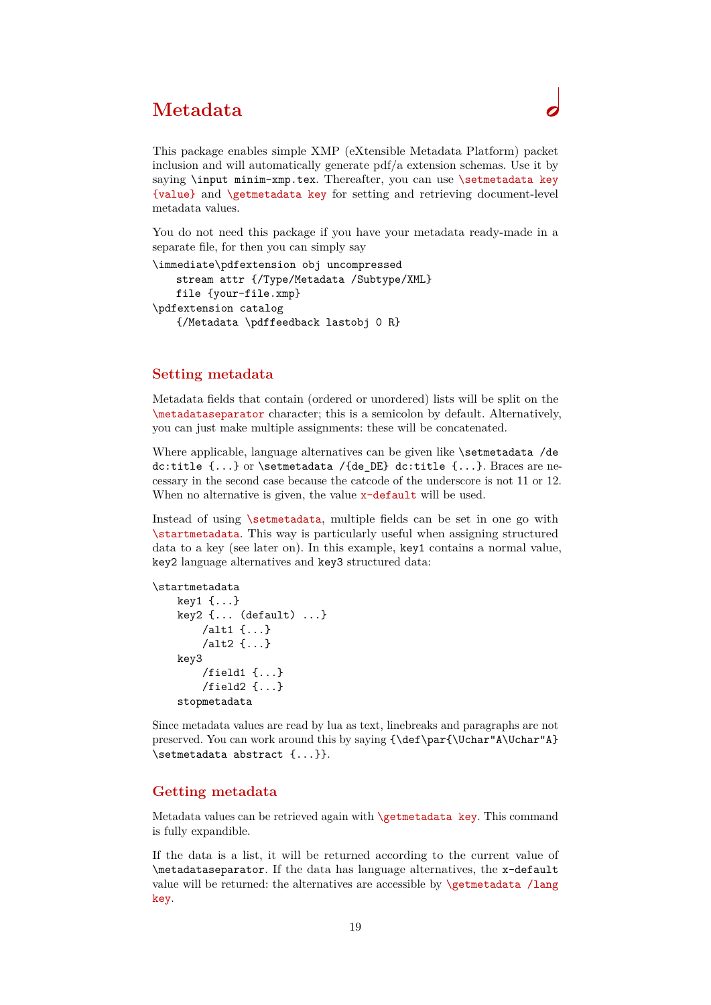# <span id="page-18-0"></span>**Metadata**

This package enables simple XMP (eXtensible Metadata Platform) packet inclusion and will automatically generate pdf/a extension schemas. Use it by saying \input minim-xmp.tex. Thereafter, you can use \setmetadata key {value} and \getmetadata key for setting and retrieving document-level metadata values.

You do not need this package if you have your metadata ready-made in a separate file, for then you can simply say

```
\immediate\pdfextension obj uncompressed 
   stream attr {/Type/Metadata /Subtype/XML} 
   file {your-file.xmp} 
\pdfextension catalog 
   {/Metadata \pdffeedback lastobj 0 R}
```
### <span id="page-18-1"></span>**Setting metadata**

Metadata fields that contain (ordered or unordered) lists will be split on the \metadataseparator character; this is a semicolon by default. Alternatively, you can just make multiple assignments: these will be concatenated.

Where applicable, language alternatives can be given like \setmetadata /de dc:title {...} or \setmetadata /{de\_DE} dc:title {...}. Braces are necessary in the second case because the catcode of the underscore is not 11 or 12. When no alternative is given, the value  $x$ -default will be used.

Instead of using \setmetadata, multiple fields can be set in one go with \startmetadata. This way is particularly useful when assigning structured data to a key (see later on). In this example, key1 contains a normal value, key2 language alternatives and key3 structured data:

```
\startmetadata
     key1 {...}
     key2 {... (default) ...}
         /alt1 {...}
         /alt2 {...}
     key3
         /field1 {...}
         /field2 {...}
     stopmetadata
```
Since metadata values are read by lua as text, linebreaks and paragraphs are not preserved. You can work around this by saying {\def\par{\Uchar"A\Uchar"A} \setmetadata abstract {...}}.

### <span id="page-18-2"></span>**Getting metadata**

Metadata values can be retrieved again with **\getmetadata key**. This command is fully expandible.

If the data is a list, it will be returned according to the current value of \metadataseparator. If the data has language alternatives, the x-default value will be returned: the alternatives are accessible by  $\get$ retnetadata /lang key.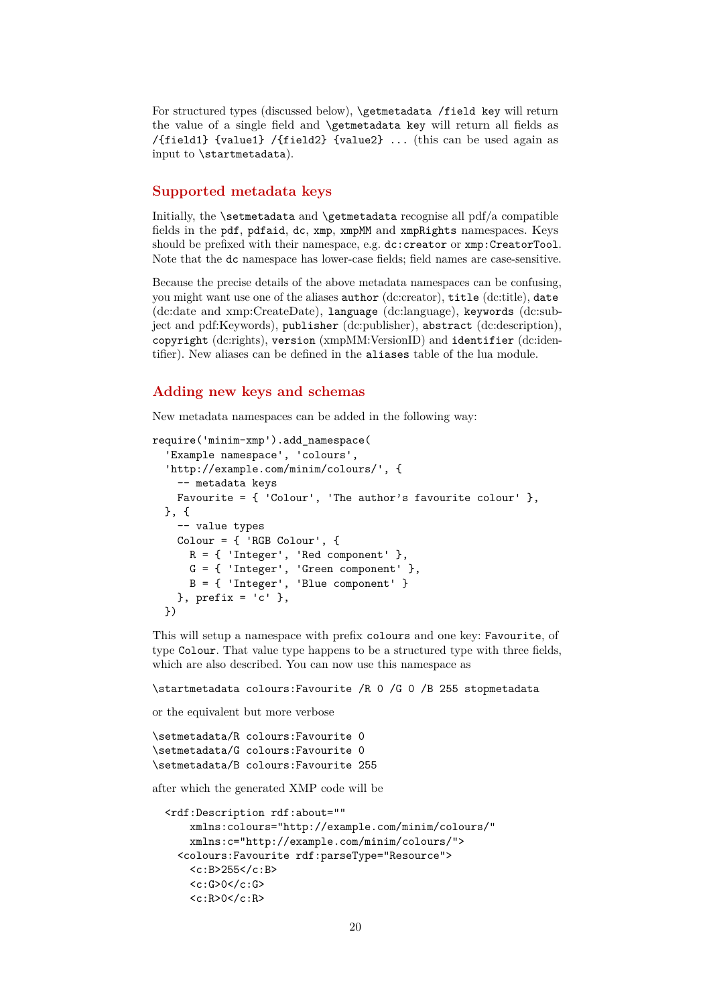For structured types (discussed below), \getmetadata /field key will return the value of a single field and \getmetadata key will return all fields as /{field1} {value1} /{field2} {value2} ... (this can be used again as input to \startmetadata).

# <span id="page-19-0"></span>**Supported metadata keys**

Initially, the  $\setminus$  setmetadata and  $\setminus$ getmetadata recognise all pdf/a compatible fields in the pdf, pdfaid, dc, xmp, xmpMM and xmpRights namespaces. Keys should be prefixed with their namespace, e.g. dc:creator or xmp: CreatorTool. Note that the dc namespace has lower-case fields; field names are case-sensitive.

Because the precise details of the above metadata namespaces can be confusing, you might want use one of the aliases author (dc:creator), title (dc:title), date (dc:date and xmp:CreateDate), language (dc:language), keywords (dc:subject and pdf:Keywords), publisher (dc:publisher), abstract (dc:description), copyright (dc:rights), version (xmpMM:VersionID) and identifier (dc:identifier). New aliases can be defined in the aliases table of the lua module.

### <span id="page-19-1"></span>**Adding new keys and schemas**

New metadata namespaces can be added in the following way:

```
require('minim-xmp').add_namespace(
   'Example namespace', 'colours',
   'http://example.com/minim/colours/', {
     -- metadata keys
    Favourite = \{ 'Color', 'The author's favorite colour' \}, }, {
     -- value types
     Colour = { 'RGB Colour', {
      R = \{ 'Integer', 'Red component' \},G = \{ 'Integer', 'Green component' \},
      B = \{ 'Integer', 'Blue component' \}}, prefix = 'c' },
  })
```
This will setup a namespace with prefix colours and one key: Favourite, of type Colour. That value type happens to be a structured type with three fields, which are also described. You can now use this namespace as

\startmetadata colours:Favourite /R 0 /G 0 /B 255 stopmetadata

or the equivalent but more verbose

```
\setmetadata/R colours:Favourite 0
\setmetadata/G colours:Favourite 0
\setmetadata/B colours:Favourite 255
```
after which the generated XMP code will be

```
 <rdf:Description rdf:about=""
     xmlns:colours="http://example.com/minim/colours/"
     xmlns:c="http://example.com/minim/colours/">
   <colours:Favourite rdf:parseType="Resource">
     <c:B>255</c:B>
    \langle c: G \rangle 0 \langle c: G \rangle<c:R>0</math><0< c:R>
```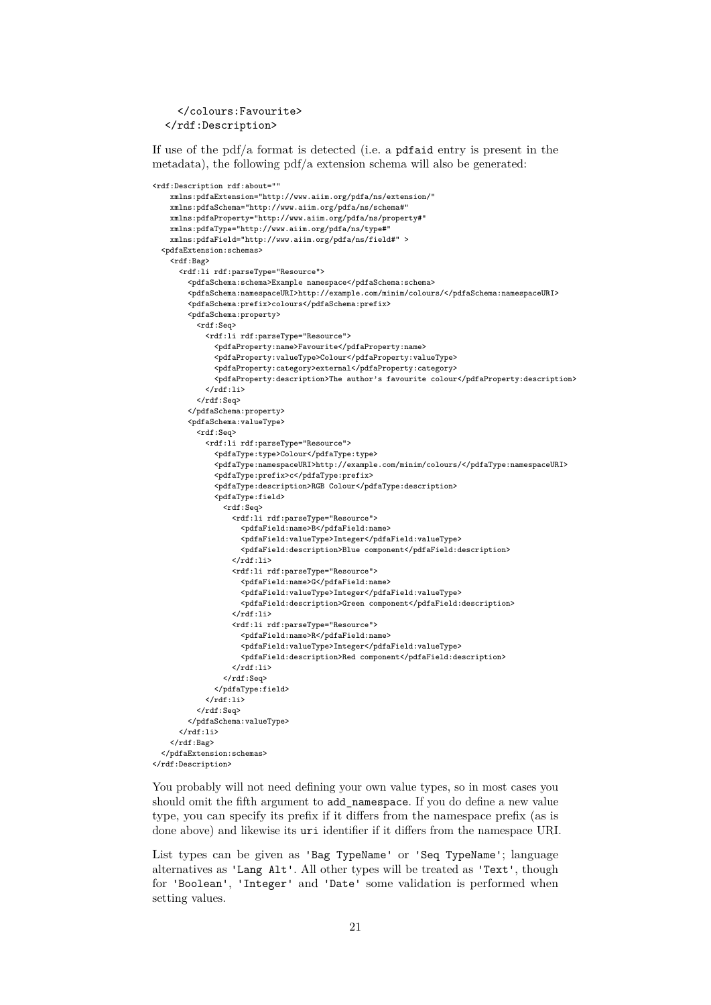</colours:Favourite> </rdf:Description>

If use of the pdf/a format is detected (i.e. a pdfaid entry is present in the metadata), the following pdf/a extension schema will also be generated:

```
<rdf:Description rdf:about=""
     xmlns:pdfaExtension="http://www.aiim.org/pdfa/ns/extension/"
     xmlns:pdfaSchema="http://www.aiim.org/pdfa/ns/schema#"
     xmlns:pdfaProperty="http://www.aiim.org/pdfa/ns/property#"
     xmlns:pdfaType="http://www.aiim.org/pdfa/ns/type#"
     xmlns:pdfaField="http://www.aiim.org/pdfa/ns/field#" >
   <pdfaExtension:schemas>
     <rdf:Bag>
       <rdf:li rdf:parseType="Resource">
         <pdfaSchema:schema>Example namespace</pdfaSchema:schema>
         <pdfaSchema:namespaceURI>http://example.com/minim/colours/</pdfaSchema:namespaceURI>
          <pdfaSchema:prefix>colours</pdfaSchema:prefix>
          <pdfaSchema:property>
            <rdf:Seq>
             <rdf:li rdf:parseType="Resource">
                <pdfaProperty:name>Favourite</pdfaProperty:name>
                <pdfaProperty:valueType>Colour</pdfaProperty:valueType>
                <pdfaProperty:category>external</pdfaProperty:category>
                <pdfaProperty:description>The author's favourite colour</pdfaProperty:description>
             \langlerdf:li>
           </rdf:Seq>
         </pdfaSchema:property>
          <pdfaSchema:valueType>
            <rdf:Seq>
             <rdf:li rdf:parseType="Resource">
                <pdfaType:type>Colour</pdfaType:type>
                <pdfaType:namespaceURI>http://example.com/minim/colours/</pdfaType:namespaceURI>
                <pdfaType:prefix>c</pdfaType:prefix>
                <pdfaType:description>RGB Colour</pdfaType:description>
                <pdfaType:field>
                  <rdf:Seq>
                    <rdf:li rdf:parseType="Resource">
                      <pdfaField:name>B</pdfaField:name>
                      <pdfaField:valueType>Integer</pdfaField:valueType>
                      <pdfaField:description>Blue component</pdfaField:description>
                   \langle \text{rdf:} \rangle <rdf:li rdf:parseType="Resource">
                      <pdfaField:name>G</pdfaField:name>
                      <pdfaField:valueType>Integer</pdfaField:valueType>
                       <pdfaField:description>Green component</pdfaField:description>
                   \langle \text{rdf:}1i \rangle <rdf:li rdf:parseType="Resource">
                      <pdfaField:name>R</pdfaField:name>
                      <pdfaField:valueType>Integer</pdfaField:valueType>
                      <pdfaField:description>Red component</pdfaField:description>
                   \langlerdf:li>
                  </rdf:Seq>
                </pdfaType:field>
             \langlerdf:li>
           \langle \text{rdf}:Seq\rangle </pdfaSchema:valueType>
      \langle/rdf \cdot 1i>
    \langlerdf:Bag>
   </pdfaExtension:schemas>
</rdf:Description>
```
You probably will not need defining your own value types, so in most cases you should omit the fifth argument to add\_namespace. If you do define a new value type, you can specify its prefix if it differs from the namespace prefix (as is done above) and likewise its uri identifier if it differs from the namespace URI.

List types can be given as 'Bag TypeName' or 'Seq TypeName'; language alternatives as 'Lang Alt'. All other types will be treated as 'Text', though for 'Boolean', 'Integer' and 'Date' some validation is performed when setting values.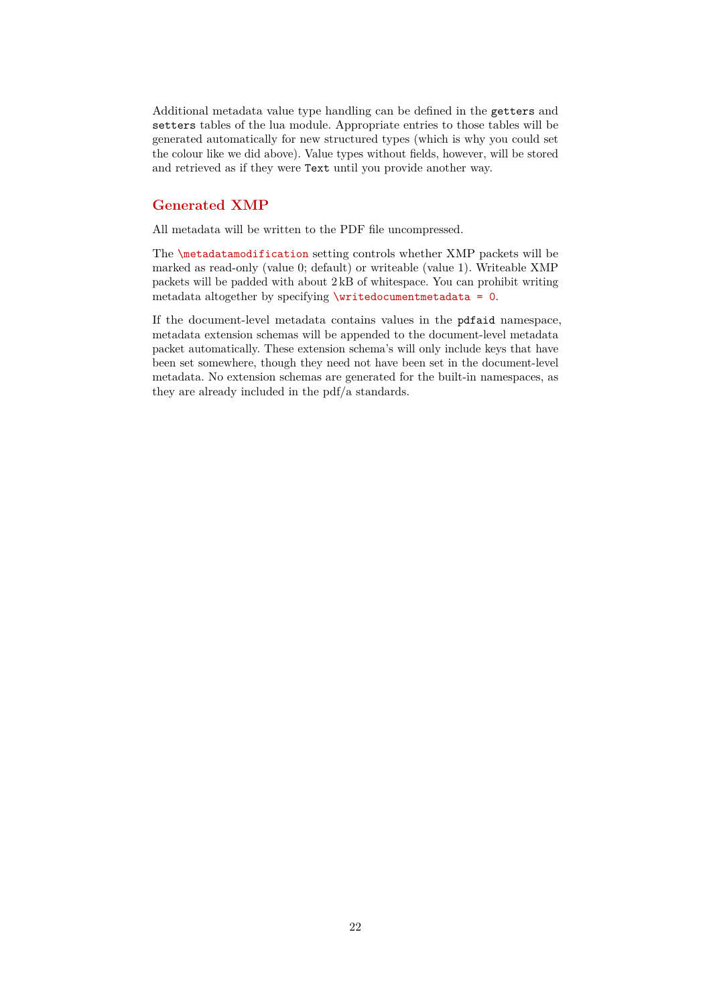Additional metadata value type handling can be defined in the getters and setters tables of the lua module. Appropriate entries to those tables will be generated automatically for new structured types (which is why you could set the colour like we did above). Value types without fields, however, will be stored and retrieved as if they were Text until you provide another way.

# <span id="page-21-0"></span>**Generated XMP**

All metadata will be written to the PDF file uncompressed.

The \metadatamodification setting controls whether XMP packets will be marked as read-only (value 0; default) or writeable (value 1). Writeable XMP packets will be padded with about 2 kB of whitespace. You can prohibit writing metadata altogether by specifying \writedocumentmetadata = 0.

If the document-level metadata contains values in the pdfaid namespace, metadata extension schemas will be appended to the document-level metadata packet automatically. These extension schema's will only include keys that have been set somewhere, though they need not have been set in the document-level metadata. No extension schemas are generated for the built-in namespaces, as they are already included in the pdf/a standards.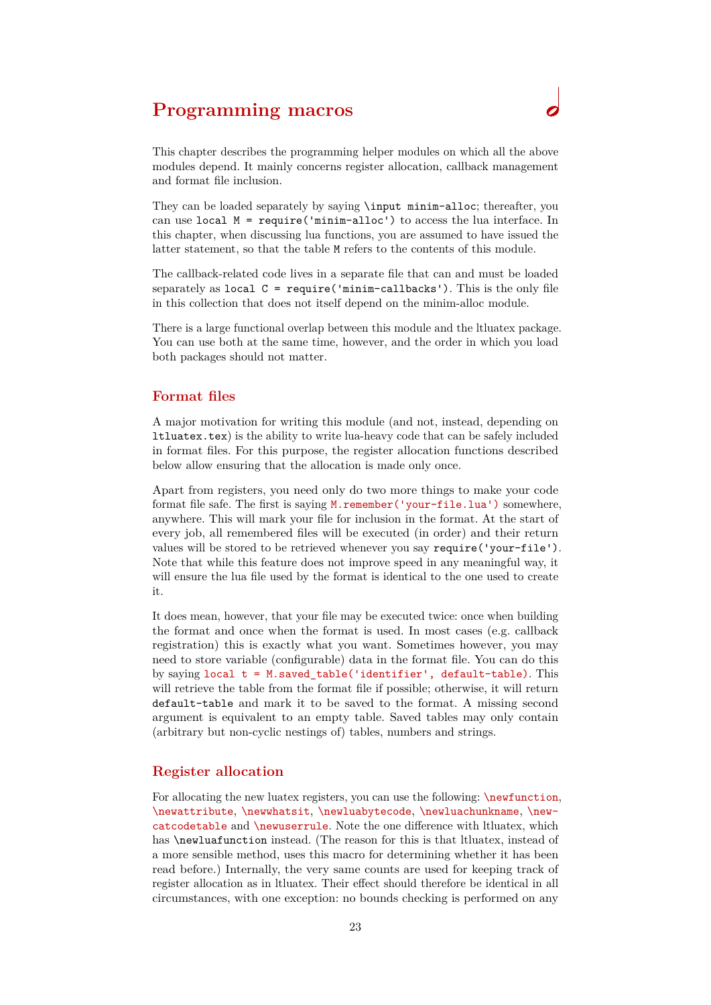# <span id="page-22-0"></span>**Programming macros**

They can be loaded separately by saying \input minim-alloc; thereafter, you can use local M = require('minim-alloc') to access the lua interface. In this chapter, when discussing lua functions, you are assumed to have issued the latter statement, so that the table M refers to the contents of this module.

The callback-related code lives in a separate file that can and must be loaded separately as local  $C = \text{require('minim-callbacks').}$  This is the only file in this collection that does not itself depend on the minim-alloc module.

There is a large functional overlap between this module and the ltluatex package. You can use both at the same time, however, and the order in which you load both packages should not matter.

### <span id="page-22-1"></span>**Format files**

A major motivation for writing this module (and not, instead, depending on ltluatex.tex) is the ability to write lua-heavy code that can be safely included in format files. For this purpose, the register allocation functions described below allow ensuring that the allocation is made only once.

Apart from registers, you need only do two more things to make your code format file safe. The first is saying M.remember('your-file.lua') somewhere, anywhere. This will mark your file for inclusion in the format. At the start of every job, all remembered files will be executed (in order) and their return values will be stored to be retrieved whenever you say require('your-file'). Note that while this feature does not improve speed in any meaningful way, it will ensure the lua file used by the format is identical to the one used to create it.

It does mean, however, that your file may be executed twice: once when building the format and once when the format is used. In most cases (e.g. callback registration) this is exactly what you want. Sometimes however, you may need to store variable (configurable) data in the format file. You can do this by saying local t = M.saved\_table('identifier', default-table). This will retrieve the table from the format file if possible; otherwise, it will return default-table and mark it to be saved to the format. A missing second argument is equivalent to an empty table. Saved tables may only contain (arbitrary but non-cyclic nestings of) tables, numbers and strings.

### <span id="page-22-2"></span>**Register allocation**

For allocating the new luatex registers, you can use the following: \newfunction, \newattribute, \newwhatsit, \newluabytecode, \newluachunkname, \newcatcodetable and \newuserrule. Note the one difference with ltluatex, which has \newluafunction instead. (The reason for this is that ltluatex, instead of a more sensible method, uses this macro for determining whether it has been read before.) Internally, the very same counts are used for keeping track of register allocation as in ltluatex. Their effect should therefore be identical in all circumstances, with one exception: no bounds checking is performed on any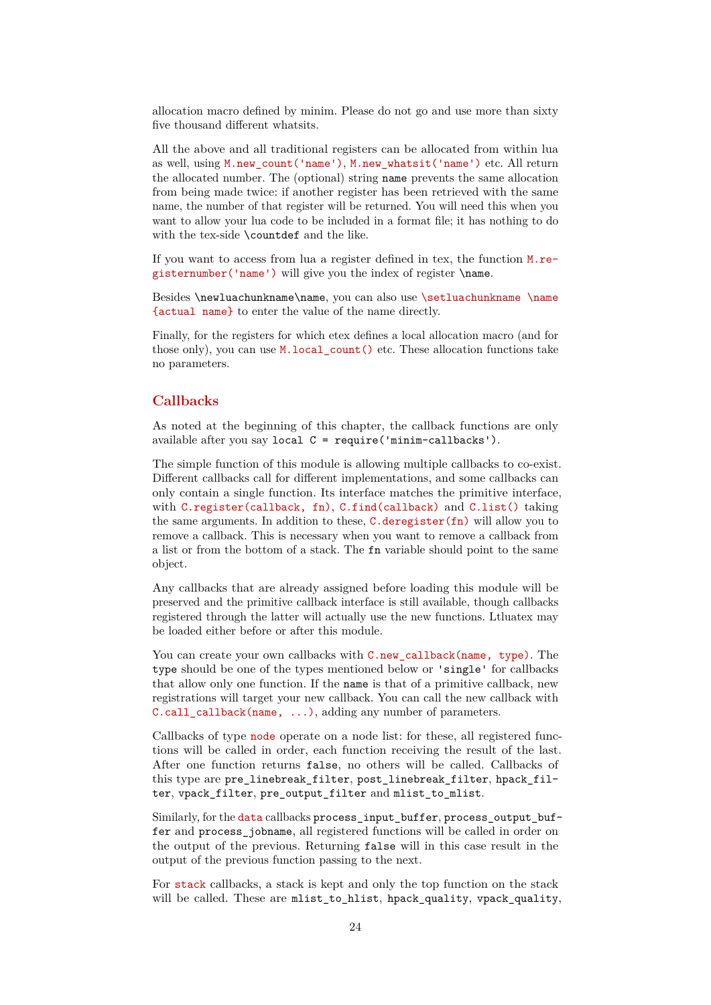allocation macro defined by minim. Please do not go and use more than sixty five thousand different whatsits.

All the above and all traditional registers can be allocated from within lua as well, using M.new\_count('name'), M.new\_whatsit('name') etc. All return the allocated number. The (optional) string name prevents the same allocation from being made twice: if another register has been retrieved with the same name, the number of that register will be returned. You will need this when you want to allow your lua code to be included in a format file; it has nothing to do with the tex-side \countdef and the like.

If you want to access from lua a register defined in tex, the function M.registernumber('name') will give you the index of register \name.

Besides \newluachunkname\name, you can also use \setluachunkname \name {actual name} to enter the value of the name directly.

Finally, for the registers for which etex defines a local allocation macro (and for those only), you can use **M.local\_count()** etc. These allocation functions take no parameters.

# <span id="page-23-0"></span>**Callbacks**

As noted at the beginning of this chapter, the callback functions are only available after you say local C = require('minim-callbacks').

The simple function of this module is allowing multiple callbacks to co-exist. Different callbacks call for different implementations, and some callbacks can only contain a single function. Its interface matches the primitive interface, with C.register(callback, fn), C.find(callback) and C.list() taking the same arguments. In addition to these, C.deregister(fn) will allow you to remove a callback. This is necessary when you want to remove a callback from a list or from the bottom of a stack. The fn variable should point to the same object.

Any callbacks that are already assigned before loading this module will be preserved and the primitive callback interface is still available, though callbacks registered through the latter will actually use the new functions. Ltluatex may be loaded either before or after this module.

You can create your own callbacks with C.new\_callback(name, type). The type should be one of the types mentioned below or 'single' for callbacks that allow only one function. If the name is that of a primitive callback, new registrations will target your new callback. You can call the new callback with C.call\_callback(name, ...), adding any number of parameters.

Callbacks of type node operate on a node list: for these, all registered functions will be called in order, each function receiving the result of the last. After one function returns false, no others will be called. Callbacks of this type are pre\_linebreak\_filter, post\_linebreak\_filter, hpack\_filter, vpack\_filter, pre\_output\_filter and mlist\_to\_mlist.

Similarly, for the data callbacks process\_input\_buffer, process\_output\_buffer and process\_jobname, all registered functions will be called in order on the output of the previous. Returning false will in this case result in the output of the previous function passing to the next.

For stack callbacks, a stack is kept and only the top function on the stack will be called. These are mlist\_to\_hlist, hpack\_quality, vpack\_quality,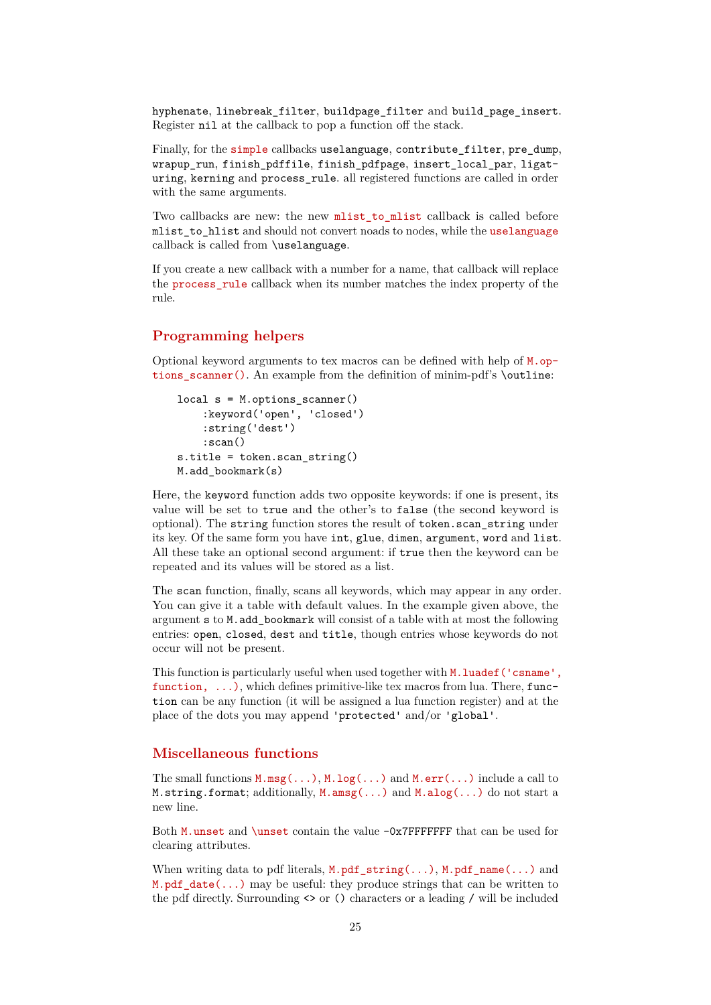hyphenate, linebreak\_filter, buildpage\_filter and build\_page\_insert. Register nil at the callback to pop a function off the stack.

Finally, for the simple callbacks uselanguage, contribute\_filter, pre\_dump, wrapup run, finish pdffile, finish pdfpage, insert local par, ligaturing, kerning and process\_rule. all registered functions are called in order with the same arguments.

Two callbacks are new: the new mlist to mlist callback is called before mlist to hlist and should not convert noads to nodes, while the uselanguage callback is called from \uselanguage.

If you create a new callback with a number for a name, that callback will replace the process\_rule callback when its number matches the index property of the rule.

# <span id="page-24-0"></span>**Programming helpers**

Optional keyword arguments to tex macros can be defined with help of  $M$ .options\_scanner(). An example from the definition of minim-pdf's \outline:

```
 local s = M.options_scanner()
     :keyword('open', 'closed')
     :string('dest')
     :scan()
 s.title = token.scan_string()
 M.add_bookmark(s)
```
Here, the keyword function adds two opposite keywords: if one is present, its value will be set to true and the other's to false (the second keyword is optional). The string function stores the result of token.scan\_string under its key. Of the same form you have int, glue, dimen, argument, word and list. All these take an optional second argument: if true then the keyword can be repeated and its values will be stored as a list.

The scan function, finally, scans all keywords, which may appear in any order. You can give it a table with default values. In the example given above, the argument s to M.add\_bookmark will consist of a table with at most the following entries: open, closed, dest and title, though entries whose keywords do not occur will not be present.

This function is particularly useful when used together with M.luadef('csname', function, ...), which defines primitive-like tex macros from lua. There, function can be any function (it will be assigned a lua function register) and at the place of the dots you may append 'protected' and/or 'global'.

## <span id="page-24-1"></span>**Miscellaneous functions**

The small functions  $M.msg(...)$ ,  $M.log(...)$  and  $M.err(...)$  include a call to M.string.format; additionally, M.amsg(...) and M.alog(...) do not start a new line.

Both M.unset and \unset contain the value -0x7FFFFFFF that can be used for clearing attributes.

When writing data to pdf literals, M.pdf\_string(...), M.pdf\_name(...) and M.pdf date(...) may be useful: they produce strings that can be written to the pdf directly. Surrounding <> or () characters or a leading / will be included